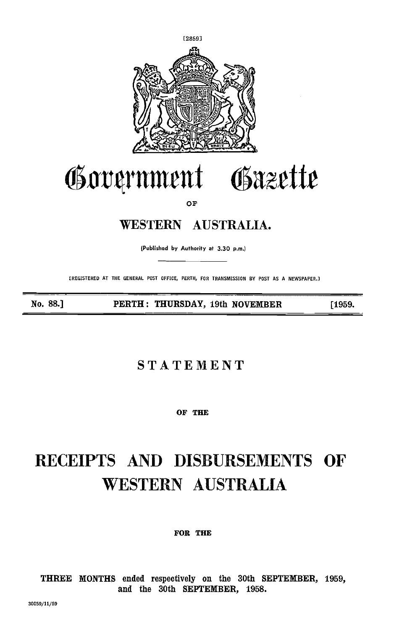

# Government Gazette

OF

## WESTERN AUSTRALIA.

(Published by Authority at 3.30 p.m.)

(REGISTERED AT THE GENERAL POST OFFICE, PERTH, FOR TRANSMISSION BY POST AS A NEWSPAPER.]

No. 88.] PERTH: THURSDAY, 19th NOVEMBER [1959.

## **STATEMENT**

OF THE

# RECEIPTS AND DISBURSEMENTS OF WESTERN AUSTRALIA

FOR THE

THREE MONTHS ended respectively on the BOth SEPTEMBER, 1959, and the 30th SEPTEMBER, 1958.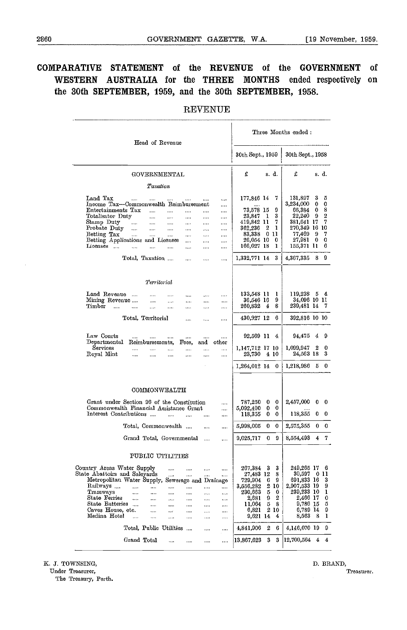#### COMPARATIVE STATEMENT of the REVENUE of the GOVERNMENT of WESTERN AUSTRALIA for the THREE MONTHS ended respectively on the 30th SEPTEMBER, 1959, and the 30th SEPTEMBER, 1958.

#### REVENUE

| Head of Revenue                                                                                                                                                                                                                                                                                                                                                                                                                                                                                                                                                                                                                                                                                          | Three Months ended:                                                                                                                                                                      |                                                                                                                                                                                                             |
|----------------------------------------------------------------------------------------------------------------------------------------------------------------------------------------------------------------------------------------------------------------------------------------------------------------------------------------------------------------------------------------------------------------------------------------------------------------------------------------------------------------------------------------------------------------------------------------------------------------------------------------------------------------------------------------------------------|------------------------------------------------------------------------------------------------------------------------------------------------------------------------------------------|-------------------------------------------------------------------------------------------------------------------------------------------------------------------------------------------------------------|
|                                                                                                                                                                                                                                                                                                                                                                                                                                                                                                                                                                                                                                                                                                          | 30th Sept., 1959                                                                                                                                                                         | 30th Sept., 1958                                                                                                                                                                                            |
| GOVERNMENTAL                                                                                                                                                                                                                                                                                                                                                                                                                                                                                                                                                                                                                                                                                             | £<br>s. d.                                                                                                                                                                               | £<br>s. d.                                                                                                                                                                                                  |
| Taxation                                                                                                                                                                                                                                                                                                                                                                                                                                                                                                                                                                                                                                                                                                 |                                                                                                                                                                                          |                                                                                                                                                                                                             |
| Land Tax<br>$\mathbf{r}$<br>$\cdots$<br>$\cdots$<br>$\ddotsc$<br>Income Tax-Commonwealth Reimbursement<br>$\cdots$<br>Entertainments Tax<br>$\cdots$<br>$\cdots$<br>$\cdots$<br>$\cdots$<br><br>Totalisator Duty<br>$\ddotsc$<br>$\cdots$<br>$\cdots$<br>$\cdots$<br><br>Stamp Duty<br>$\ddotsc$<br>$\ddotsc$<br>$\cdots$<br>$\cdots$<br>$\cdots$<br>$\cdots$<br>Probate Duty<br>$\ldots$<br>$\cdots$<br>$\cdots$<br>$\cdots$<br>$\cdots$<br>$\cdots$<br>Betting Tax<br><br>$\cdots$<br>$\cdots$<br>$\cdots$<br><br>$\cdots$<br>Betting Applications and Licenses<br>$\cdots$<br>$\cdots$<br>$\cdots$<br>Licenses<br>$\cdots$<br><br><br><br><br><br>Total, Taxation<br>$\cdots$<br>$\cdots$<br>$\cdots$ | 177,846 14<br>7<br><br>73,578 15<br>9<br>3<br>23,847<br>$\mathbf{I}$<br>7<br>419,842 11<br>2<br>362,236<br>1<br>83,338<br>-011<br>0<br>26,054 10<br>166,027 18<br>1<br>3<br>1,332,771 14 | 3<br>5<br>131,897<br>3,234,000<br>0<br>0<br>8<br>66,384<br>0<br>2<br>22,240<br>9<br>7<br>381,641 17<br>270,349 16 10<br>77,469<br>9<br>7<br>27,981<br>0<br>0<br>155,371 11<br>6<br>9<br>8.<br>$4.367,\!335$ |
|                                                                                                                                                                                                                                                                                                                                                                                                                                                                                                                                                                                                                                                                                                          |                                                                                                                                                                                          |                                                                                                                                                                                                             |
| Territorial                                                                                                                                                                                                                                                                                                                                                                                                                                                                                                                                                                                                                                                                                              |                                                                                                                                                                                          |                                                                                                                                                                                                             |
| Land Revenue<br>$\cdots$<br>$\cdots$<br>$\cdots$<br>$\cdots$<br>Mining Revenue<br>$\cdots$<br>$\cdots$<br><br><br><br>Timber<br>$\ddotsc$<br>$\cdots$<br>$\cdots$<br>$\cdots$<br>$\cdots$<br>$\cdots$<br>$\cdots$                                                                                                                                                                                                                                                                                                                                                                                                                                                                                        | 133,548 11<br>1<br>36,546 16<br>9<br>8<br>260,832<br>-4                                                                                                                                  | $119,238$ 5 4<br>34,096 10 11<br>239,481 14 7                                                                                                                                                               |
| Total, Territorial<br><br>.<br>.                                                                                                                                                                                                                                                                                                                                                                                                                                                                                                                                                                                                                                                                         | 430,927 12<br>6                                                                                                                                                                          | 392,816 10 10                                                                                                                                                                                               |
| Law Courts<br>$\cdots$<br>$\cdots$<br>$\cdots$<br><br><br>$\cdots$<br>$\it Departmental$<br>Reimbursements,<br>and other<br>Fees,<br>Services<br>$\cdots$<br><br>.<br><br><br>Royal Mint<br>$\cdots$<br>$\cdots$<br>$\cdots$<br>$\cdots$<br><br>                                                                                                                                                                                                                                                                                                                                                                                                                                                         | 92,569 11 4<br>1,147,712 17 10<br>23,730 4 10<br>1,264,012 14<br>0                                                                                                                       | 94,475<br>4<br>- 9<br>1,099,947<br>2<br>0<br>24,563 18<br>3<br>$1,218,986$ 5 0                                                                                                                              |
|                                                                                                                                                                                                                                                                                                                                                                                                                                                                                                                                                                                                                                                                                                          |                                                                                                                                                                                          |                                                                                                                                                                                                             |
| COMMONWEALTH<br>Grant under Section 96 of the Constitution<br><br>Commonwealth Financial Assistance Grant<br><br>Interest Contributions<br>$\cdots$<br>$\ddotsc$<br>$\overline{a}$<br>$\cdots$<br>Total, Commonwealth<br><br><br>Grand Total, Governmental<br>$\cdots$<br>                                                                                                                                                                                                                                                                                                                                                                                                                               | 787,250<br>0<br>0<br>5,092,400<br>0<br>0<br>118,355<br>0<br>0<br>5,998,005<br>0<br>0<br>9,025,717<br>0<br>-9                                                                             | 2,457,000<br>0<br>0<br>118,355<br>0<br>- 0<br>2,575,355<br>0<br>- 0<br>7<br>8,554,493<br>4                                                                                                                  |
|                                                                                                                                                                                                                                                                                                                                                                                                                                                                                                                                                                                                                                                                                                          |                                                                                                                                                                                          |                                                                                                                                                                                                             |
| PUBLIC UTILITIES                                                                                                                                                                                                                                                                                                                                                                                                                                                                                                                                                                                                                                                                                         |                                                                                                                                                                                          |                                                                                                                                                                                                             |
| Country Areas Water Supply<br><br><br>$\cdots$<br><br>State Abattoirs and Saleyards<br><br><br><br><br>Metropolitan Water Supply, Sewerage and Drainage<br>Railways<br><br><br><br>$\cdots$<br><br>Tramways<br><br><br><br><br><br><br>State Ferries<br>$\cdots$<br><br>$\cdots$<br>$\cdots$<br>$\cdots$<br>$\cdots$<br>State Batteries<br>.<br><br>$\cdots$<br>$\cdots$<br>$\cdots$<br>Caves House, etc.<br>.<br>المعام<br>$\cdots$<br>$\cdots$<br>Medina Hotel<br>$\cdots$<br><br>$\cdots$<br>.<br><br>                                                                                                                                                                                                | 3<br>267,384<br>3<br>27,483 12<br>8<br>9<br>729,904<br>6<br>3,556,282<br>2.<br>10<br>230,663<br>5<br>0<br>2<br>2,631<br>9<br>8<br>5<br>11,064<br>2 10<br>6,821<br>9,621 14<br>4          | 249,265 17<br>- 6<br>30,597<br>0<br>11<br>691,833 16<br>3<br>2,907,533 19<br>9<br>239,233 10<br>1<br>2,466 17<br>0<br>9,786 15<br>5<br>6,789 14<br>9<br>1<br>8,563<br>8                                     |
| Total, Public Utilities<br>$\ddotsc$<br><br>$\ldots$                                                                                                                                                                                                                                                                                                                                                                                                                                                                                                                                                                                                                                                     | 2<br>6<br>4,841,906                                                                                                                                                                      | 9<br>4,146,070 19                                                                                                                                                                                           |
| Grand Total<br>.<br><br><br>                                                                                                                                                                                                                                                                                                                                                                                                                                                                                                                                                                                                                                                                             | 3<br>3<br>13,867,623                                                                                                                                                                     | 12,700,564<br>4<br>4                                                                                                                                                                                        |

K. J. TOWNSING, D. BRAND, D. BRAND, D. BRAND, D. BRAND, D. BRAND, D. BRAND, D. BRAND, D. BRAND, D. BRAND, D. BRAND, D. BRAND, D. BRAND, D. BRAND, D. BRAND, D. BRAND, D. BRAND, D. BRAND, D. BRAND, D. BRAND, D. BRAND, D. BRA

The Treasury, Perth.

Under Treasurer, Treasurer, The Contract of the Contract of the Contract of the Contract of the Contract of the Contract of the Contract of the Contract of the Contract of the Contract of the Contract of the Contract of th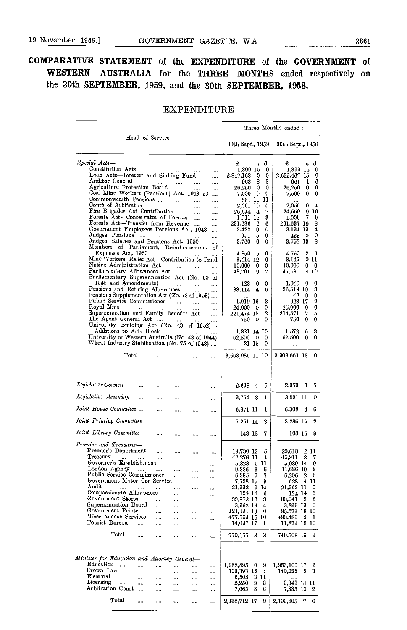### COMPARATIVE STATEMENT of the EXPENDITURE of the GOVERNMENT of WESTERN AUSTRALIA for the THREE MONTHS ended respectively on the 30th SEPTEMBER, 1959, and the 30th SEPTEMBER, 1958.

#### EXPENDITURE

|                                                                                                                                                                                                                                                                                                                                                                                                                                                                                                                                                                                                                                                                                                                                                                                                                                                                                                                                                                                                                                                                                                                                                                                                                                                                                                                                                                                                                                                                                                                                                                       |                                                                                                                                                                                                                                                                                                                                                                                                                                                                                                                 | Three Months ended:                                                                                                                                                                                                                                                                                                                                                                                                                                                                                          |  |  |  |
|-----------------------------------------------------------------------------------------------------------------------------------------------------------------------------------------------------------------------------------------------------------------------------------------------------------------------------------------------------------------------------------------------------------------------------------------------------------------------------------------------------------------------------------------------------------------------------------------------------------------------------------------------------------------------------------------------------------------------------------------------------------------------------------------------------------------------------------------------------------------------------------------------------------------------------------------------------------------------------------------------------------------------------------------------------------------------------------------------------------------------------------------------------------------------------------------------------------------------------------------------------------------------------------------------------------------------------------------------------------------------------------------------------------------------------------------------------------------------------------------------------------------------------------------------------------------------|-----------------------------------------------------------------------------------------------------------------------------------------------------------------------------------------------------------------------------------------------------------------------------------------------------------------------------------------------------------------------------------------------------------------------------------------------------------------------------------------------------------------|--------------------------------------------------------------------------------------------------------------------------------------------------------------------------------------------------------------------------------------------------------------------------------------------------------------------------------------------------------------------------------------------------------------------------------------------------------------------------------------------------------------|--|--|--|
| Head of Service                                                                                                                                                                                                                                                                                                                                                                                                                                                                                                                                                                                                                                                                                                                                                                                                                                                                                                                                                                                                                                                                                                                                                                                                                                                                                                                                                                                                                                                                                                                                                       | 30th Sept., 1959                                                                                                                                                                                                                                                                                                                                                                                                                                                                                                | 30th Sept., 1958                                                                                                                                                                                                                                                                                                                                                                                                                                                                                             |  |  |  |
| Special Acts-<br>Constitution Acts<br><b>Contractor</b><br>$\cdots$<br>$\cdots$<br>Loan Acts—Interest and Sinking Fund<br><br>Auditor General<br>$\cdots$<br>$\cdots$<br><br>Agriculture Protection Board<br><br><br><br>Coal Mine Workers (Pensions) Act, 1943-50<br>$\cdots$<br>Commonwealth Pensions<br>$\cdots$<br>$\cdots$<br>Court of Arbitration<br>$\mathbf{1}$<br>$\cdots$<br>$\cdots$<br>$\cdots$<br>Fire Brigades Act Contribution<br>$\cdots$<br>Forests Act-Conservator of Forests<br>$\cdots$<br>Forests Act-Transfer from Revenue<br>$\cdots$<br>Government Employees Pensions Act, 1948<br>$\cdots$<br>Judges' Pensions<br>$\cdots$<br><br>Judges' Salaries and Pensions Act, 1950<br>$\ldots$<br>Members of Parliament, Reimburscment<br>οf<br>Expenses Act, 1953<br>sales in<br>$\cdots$<br>Mine Workers' Relief Act-Contribution to Fund<br>Native Administration Act<br>$\cdots$<br>$\cdots$<br>Parliamentary Allowances Act<br>Parliamentary Superannuation Act (No. 60 of<br>1948 and Amendments)<br>$\frac{1}{2}$<br>$\cdots$<br>$\overline{a}$<br>Pensions and Retiring Allowances<br>Pensions Supplementation Act (No. 78 of 1953)<br>Public Service Commissioner<br>$\cdots$<br>$\ddotsc$<br>$\cdots$<br>Royal Mint<br>$\cdots$<br>$\cdots$<br><br>Superannuation and Family Benefits Act<br>$\cdots$<br>The Agent General Act<br>$\ldots$<br>University Building Act (No. 43 of 1952)-<br>Additions to Arts Block<br>التبين المتحادين<br>University of Western Australia (No. 43 of 1944)<br>Wheat Industry Stabilisation (No. 75 of 1948) | £<br>s. d.<br>1,399 15<br>0<br>2,847,168<br>0<br>0<br>8<br>8<br>963.<br>0<br>26,250<br>0<br>0<br>0<br>7,500<br>831 11 11<br>2,061 10<br>0<br>7<br>26,644 4<br>3<br>1.011 15<br>231,636<br>6<br>- 6<br>2,422<br>0<br>0<br>5<br>951<br>0<br>0<br>3,760<br>0<br>4,850<br>0<br>- 5<br>3,414 12<br>0<br>10,000<br>0<br>0<br>2<br>48,291<br>9<br>128<br>0<br>0<br>4<br>33,114<br>6<br><br>1,019 16<br>3<br>24,000<br>0<br>- 0<br>2<br>221,474 18<br>750.<br>0<br>0<br>1,821 14 10<br>62,500<br>0<br>0<br>21 15<br>- 0 | £<br>s. d.<br>1,399 15<br>0<br>2,622,467 15<br>0<br>1<br>6<br>961<br>0<br>26,250<br>-0<br>$\bf{0}$<br>7,500<br>0<br>2,056<br>0<br>4<br>-910<br>24,650<br>1,009<br>- 7<br>9<br>201,637 19<br>8<br>3,134 13<br>4<br>0<br>425<br>- 0<br>8<br>3,752 13<br>4,760<br>2<br>- 1<br>3,147<br>0 11<br>10,000<br>$\mathbf{0}$<br>0<br>47.585<br>-810<br>$1,040$ 0<br>0<br>3<br>36,519 19<br>42 0<br>0<br>2<br>928 17<br>0<br>- 0<br>25,000<br>5<br>214,571<br>7<br>0<br>750<br>0<br>3<br>1,572<br>6<br>0<br>0<br>62,500 |  |  |  |
| Total<br>$\cdots$                                                                                                                                                                                                                                                                                                                                                                                                                                                                                                                                                                                                                                                                                                                                                                                                                                                                                                                                                                                                                                                                                                                                                                                                                                                                                                                                                                                                                                                                                                                                                     | 3,563,986 11 10                                                                                                                                                                                                                                                                                                                                                                                                                                                                                                 | 3,303,661 18<br>- 0                                                                                                                                                                                                                                                                                                                                                                                                                                                                                          |  |  |  |
| Legislative Council<br>$\cdots$<br>$\cdots$<br>$\cdots$<br>$\cdots$<br>$\cdots$                                                                                                                                                                                                                                                                                                                                                                                                                                                                                                                                                                                                                                                                                                                                                                                                                                                                                                                                                                                                                                                                                                                                                                                                                                                                                                                                                                                                                                                                                       | 2,698<br>4<br>- 5                                                                                                                                                                                                                                                                                                                                                                                                                                                                                               | 2,373 1<br>7                                                                                                                                                                                                                                                                                                                                                                                                                                                                                                 |  |  |  |
| Legislative Assembly<br><br><br>$\ldots$<br>$\cdots$<br>$\cdots$                                                                                                                                                                                                                                                                                                                                                                                                                                                                                                                                                                                                                                                                                                                                                                                                                                                                                                                                                                                                                                                                                                                                                                                                                                                                                                                                                                                                                                                                                                      | 3,764 3<br>1                                                                                                                                                                                                                                                                                                                                                                                                                                                                                                    | 0<br>3,531 11                                                                                                                                                                                                                                                                                                                                                                                                                                                                                                |  |  |  |
| Joint House Committee<br>$\cdots$<br>$\cdots$<br>$\cdots$<br>$\cdots$                                                                                                                                                                                                                                                                                                                                                                                                                                                                                                                                                                                                                                                                                                                                                                                                                                                                                                                                                                                                                                                                                                                                                                                                                                                                                                                                                                                                                                                                                                 | 1<br>6,871 11                                                                                                                                                                                                                                                                                                                                                                                                                                                                                                   | 6.308 4<br>6                                                                                                                                                                                                                                                                                                                                                                                                                                                                                                 |  |  |  |
| Joint Printing Committee<br><br><br>$\cdots$<br>$\cdots$                                                                                                                                                                                                                                                                                                                                                                                                                                                                                                                                                                                                                                                                                                                                                                                                                                                                                                                                                                                                                                                                                                                                                                                                                                                                                                                                                                                                                                                                                                              | 3<br>6,261 14                                                                                                                                                                                                                                                                                                                                                                                                                                                                                                   | 2<br>8,286 15                                                                                                                                                                                                                                                                                                                                                                                                                                                                                                |  |  |  |
| Joint Library Committee<br>$\cdots$<br><br>                                                                                                                                                                                                                                                                                                                                                                                                                                                                                                                                                                                                                                                                                                                                                                                                                                                                                                                                                                                                                                                                                                                                                                                                                                                                                                                                                                                                                                                                                                                           | 7<br>143 18                                                                                                                                                                                                                                                                                                                                                                                                                                                                                                     | 108 15<br>9                                                                                                                                                                                                                                                                                                                                                                                                                                                                                                  |  |  |  |
| <br>Premier and Treasurer—                                                                                                                                                                                                                                                                                                                                                                                                                                                                                                                                                                                                                                                                                                                                                                                                                                                                                                                                                                                                                                                                                                                                                                                                                                                                                                                                                                                                                                                                                                                                            |                                                                                                                                                                                                                                                                                                                                                                                                                                                                                                                 |                                                                                                                                                                                                                                                                                                                                                                                                                                                                                                              |  |  |  |
| Premier's Department<br>$\cdots$<br>$\cdots$<br><br><br>Treasury<br><b>Contractor</b><br><br>Governor's Establishment<br>$\cdots$<br>$\cdots$<br>$\cdots$<br>London Agency<br>$\sim$ 1000 $\sim$<br>$\mathcal{L}_{\text{max}}$<br>$\cdots$<br>$\cdots$<br>$\cdots$<br>Public Service Commissioner<br>$\cdots$<br>$\ldots$<br>$\cdots$<br>Government Motor Car Service<br>$\cdots$<br><br>Audit<br>$\cdots$<br>$\cdots$<br>$\cdots$<br><br>$\cdots$<br><br>Compassionate Allowances<br>$\cdots$<br><br>$\cdots$<br>Government Stores<br>$\cdots$<br><br><br>Superannuation Board<br>$\cdots$<br>$\cdots$<br><br>$\cdots$<br>Government Printer<br>$\ddotsc$<br>$\ldots$<br>$\cdots$<br><br>Miscellaneous Services<br>$\cdots$<br>$\cdots$<br>$\cdots$<br>$\cdots$<br>Tourist Bureau<br>$\ddotsc$<br>$\cdots$<br>$\cdots$<br><br><br>Total<br>$\cdots$<br>$\cdots$<br>$\cdots$<br><br>$\cdots$                                                                                                                                                                                                                                                                                                                                                                                                                                                                                                                                                                                                                                                                          | 19,730 12<br>5<br>42,278 11<br>$\overline{4}$<br>5,323 5 11<br>9,886 3<br>5<br>6,985 7<br>8<br>7,798 15<br>3<br>21,332<br>-910<br>124 14<br>6<br>39,872 16<br>8<br>3,962 19<br>4<br>121,191 19<br>0<br>477,569 15 10<br>14,097 17<br>1<br>83<br>770,155                                                                                                                                                                                                                                                         | 20,613<br>2 11<br>45,911 3<br>7<br>5,089 14<br>-9<br>11,686 19<br>8<br>$6,206$ 2 6<br>628 4 11<br>21,362 11<br>0<br>6<br>124 14<br>33,041<br>2<br>- 3<br>3,899 13<br>- 0<br>95,573 18 10<br>493,486<br>- 8<br>-1<br>11,879 19 10<br>749,508 16 9                                                                                                                                                                                                                                                             |  |  |  |
| Minister for Education and Attorney General-<br>Education<br>$\mathbf{r}$                                                                                                                                                                                                                                                                                                                                                                                                                                                                                                                                                                                                                                                                                                                                                                                                                                                                                                                                                                                                                                                                                                                                                                                                                                                                                                                                                                                                                                                                                             |                                                                                                                                                                                                                                                                                                                                                                                                                                                                                                                 |                                                                                                                                                                                                                                                                                                                                                                                                                                                                                                              |  |  |  |
| $\cdots$<br>$\cdots$<br>$\cdots$<br>$\cdots$<br><br>Crown Law<br>$\cdots$<br>$\cdots$<br>$\cdots$<br><br>$\cdots$<br>Electoral<br>$\sim$<br><br>$\cdots$<br>$\cdots$<br>$\ddotsc$<br>$\cdots$<br>Licensing<br><br>assa.<br>$\ldots$<br>$\cdots$<br>$\cdots$<br>$\cdots$<br>Arbitration Conrt<br>$\cdots$<br>$\ldots$<br>$\cdots$<br>$\cdots$                                                                                                                                                                                                                                                                                                                                                                                                                                                                                                                                                                                                                                                                                                                                                                                                                                                                                                                                                                                                                                                                                                                                                                                                                          | 1,982,895 0<br>9<br>139,393 15<br>4<br>6,508<br>3 11<br>2,250<br>3<br>9<br>7,665<br>8<br>6                                                                                                                                                                                                                                                                                                                                                                                                                      | 1,953,100 17<br>2<br>$140,025$ 5<br>3<br>$\cdots$<br>3,343 14 11<br>7,335 10 2                                                                                                                                                                                                                                                                                                                                                                                                                               |  |  |  |
| Total<br>$\cdots$<br>$\cdots$<br>$\cdots$<br><br>                                                                                                                                                                                                                                                                                                                                                                                                                                                                                                                                                                                                                                                                                                                                                                                                                                                                                                                                                                                                                                                                                                                                                                                                                                                                                                                                                                                                                                                                                                                     | 2,138,712 17<br>9                                                                                                                                                                                                                                                                                                                                                                                                                                                                                               | 2,103,805 7 6                                                                                                                                                                                                                                                                                                                                                                                                                                                                                                |  |  |  |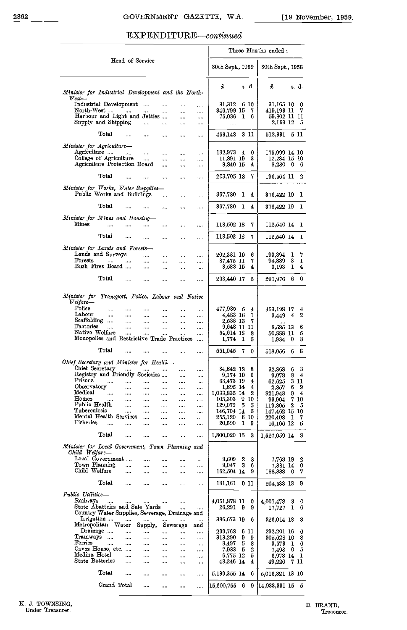#### EXPENDITURE-continued

|                                                                                                  |                                               |                          |                        | Three Months ended :       |                             |
|--------------------------------------------------------------------------------------------------|-----------------------------------------------|--------------------------|------------------------|----------------------------|-----------------------------|
| Head of Service                                                                                  |                                               | 30th Sept., 1959         |                        | 30th Sept., 1958           |                             |
| Minister for Industrial Development and the North-<br>$West$ —                                   |                                               | £                        | s. d                   | £                          | s. d.                       |
| Industrial Development<br>$\cdots$                                                               | $\cdots$<br>$\cdots$                          | 31,312 6 10              |                        | 31.165 10                  | 0                           |
| North-West<br><br><br>Harbour and Light and Jetties                                              | <br><br>$\cdots$<br>                          | 346,799 15<br>75,036     | 7<br>I 6               | 419.193 II<br>59,802 II II | 7                           |
| Supply and Shipping<br>$\cdots$<br>                                                              | <br>$\cdots$                                  | $\cdots$                 |                        | 2,169 12                   | Б                           |
| Total<br>$\cdots$<br>$\cdots$<br>                                                                | <br>                                          | 453.148 3 II             |                        | 512,331 5 II               |                             |
|                                                                                                  |                                               |                          |                        |                            |                             |
| Minister for Agriculture-<br>Agriculture<br>$\ldots$ .<br>$\cdots$                               | <br>$\cdots$                                  | 182,973 4                | 0                      | 175,999 14 10              |                             |
| College of Agriculture<br>$\cdots$                                                               | $\cdots$<br>$\cdots$                          | 11,891 19                | 3                      | 12,284 15 10               |                             |
| Agriculture Protection Board<br>                                                                 | <br>                                          | 8,840 15                 | 4                      |                            | 8,280 0 6                   |
| Total<br>                                                                                        | $\cdots$<br>                                  | 203,705 18               | 7                      | 196.564 II                 | 2                           |
| Minister for Works, Water Supplies-<br>Public Works and Buildings<br>                            | <br>                                          | 367,780                  | ı<br>4                 | 376,422 19                 | I.                          |
| Total<br>$\cdots$<br>$\cdots$<br>$\ldots$                                                        | <br>                                          | 367,780                  | ı<br>4                 | 376.422 19                 | 1                           |
| Minister for Mines and Housing-                                                                  |                                               |                          |                        |                            |                             |
| $_{\rm{Mines}}$<br>aas.<br><br><br>                                                              | $\cdots$<br>$\cdots$                          | 118,502 18               | 7                      | 112,540 14                 | 1                           |
| Total<br>$\cdots$<br>$\cdots$<br>$\cdots$                                                        | $\cdots$<br>$\cdots$                          | 118,502 18               | 7                      | 112,540 14 1               |                             |
| Minister for Lands and Forests-                                                                  |                                               |                          |                        |                            |                             |
| Lands and Surveys<br>.<br>$\cdots$<br>$\rm Forests$<br>$\cdots$<br>$\cdots$                      | <br><br>$\cdots$<br>$\cdots$                  | 202,381 10<br>87.475 II  | 6<br>7                 | 193,894<br>94,889 3        | 7<br>$\mathbf{I}$<br>1      |
| Bush Fires Board<br>$\cdots$<br>$\cdots$                                                         | <br>                                          | 3,583 15                 | 4                      | 3,193 I                    | 4                           |
| Total<br>$\cdots$<br>$\cdots$<br>$\cdots$                                                        | $\cdots$<br>$\cdots$                          | 293,440 17               | 5                      | 291,976 6                  | 0                           |
| Minister for Transport, Police, Labour and Native<br>Welfare—                                    |                                               |                          |                        |                            |                             |
| Police<br>saach.<br>$\cdots$<br>$\cdots$<br>                                                     | <br>$\cdots$                                  | 477,985 5                | $\bf{4}$               | 453,198 17                 | 4                           |
| Labour<br>$\cdots$<br>$\cdots$<br>$\ddotsc$<br><br>Scaffolding<br>$\cdots$                       | $\cdots$<br>$\cdots$<br>$\cdots$              | 4,483 16<br>2,538 13     | 1<br>-7                | 3.449 4                    | 2                           |
| <br>Factories<br>$\cdots$<br>$\cdots$<br><br>                                                    | <br><br>                                      |                          | 9,648 11 11            | $\cdots$<br>8,585 13       | 6                           |
| Native Welfare<br>$\cdots$<br>$\cdots$<br><br>Monopolies and Restrictive Trade Practices         | $\cdots$<br>.<br>                             | 54,614 18<br>1,774       | 8<br>$\mathbf{I}$<br>5 | 50,888 II<br>$1,934$ 0     | 5<br>3                      |
| Total                                                                                            | $\cdots$<br>$\cdots$                          | 551,045                  | 7<br>0                 | 518,056 6                  | 8                           |
| Chief Secretary and Minister for Health-                                                         |                                               |                          |                        |                            |                             |
| Chief Secretary<br>and the most<br>$\mathbf{m}(\mathbf{r})$ .<br>Registry and Friendly Societies | $\cdots$<br>$\cdots$                          | 34,842 18                | 8<br>6                 | 32.868                     | 3<br>6<br>8<br>4            |
| Prisons<br>$\cdots$<br>$\cdots$<br><br>                                                          | $\cdots$<br><br><br>                          | 9,174 10<br>63,473 19    | 4                      | 9.078<br>62.625            | 3 II                        |
| Observatory<br>$\cdots$<br><br><br>Medical<br>$\cdots$<br>$\cdots$<br>                           | $\cdots$<br>                                  | 1,895 14<br>1,033,835 14 | $\overline{4}$<br>2    | 2,857<br>821.943           | 69<br>94                    |
| <br><b>Homes</b><br>$\cdots$<br><br><br>                                                         | <br><br>$\cdots$<br>$\cdots$                  | 105,303                  | 9 10                   | 93.904                     | -7 10                       |
| Public Health<br><br><br>$\cdots$<br>Tuberculosis<br>                                            | $\cdots$<br>$\cdots$                          | 129,079<br>146,704 14    | -5<br>- 5<br>5         | 119,805                    | $\mathbf{2}$<br>- 5         |
| <br><br>Mental Health Services<br><br>                                                           | $\cdots$<br>$\cdots$<br>$\cdots$<br>$\ddotsc$ | 255,120                  | 6 10                   | 147,462 15 10<br>220,408   | 7<br>- 1                    |
| Fisheries<br><br><br><br>$\cdots$                                                                | <br>$\cdots$                                  | 20,590                   | $\mathbf{I}$<br>- 9    | 16,106 12                  | 5                           |
| Total<br><br><br>                                                                                | $\cdots$<br>$\cdots$                          | 1,800,020 15             | - 3                    | 1,527,059 14               | 8                           |
| Minister for Local Government, Town Planning and<br>Child Welfare-                               |                                               |                          |                        |                            |                             |
| Local Government<br><br><br>Town Planning                                                        | <br>                                          | 9,609                    | 2<br>8                 | 7,763 19                   | 2                           |
| $\cdots$<br>$\cdots$<br><br>Child Welfare<br>$\cdots$<br>$\cdots$<br>$\cdots$                    | <br><br>$\cdots$<br>$\cdots$                  | 9,047<br>162,504 14      | 3<br>6<br>9            | 188,888                    | 7,881 14 0<br>7<br>0        |
| Total<br>$\cdots$<br>$\ldots$<br>$\cdots$                                                        | $\cdots$<br>                                  | 181,161 0 11             |                        | 204,533 13                 | 9                           |
| Public Utilities-                                                                                |                                               |                          |                        |                            |                             |
| Railways<br>$\cdots$<br>$\cdots$<br>$\cdots$<br>$\cdots$<br>State Abattoirs and Sale Yards       | $\cdots$<br>$\ddotsc$                         | 4,051,878 11<br>26,291   | 0<br>- 9<br>9          | 4,007,478                  | 3<br>0<br>$\mathbf{I}$<br>6 |
| Country Water Supplies, Sewerage, Drainage and                                                   | $\cdots$<br>$\cdots$                          |                          |                        | 17,727                     |                             |
| Irrigation<br>$\cdots$<br>$\ldots$ .<br>Metropolitan Water<br>Supply,<br>Sewerage                | <br><br>and                                   | 386,673 19               | 6                      | 326,014 18                 | 3                           |
| Drainage<br><br><br>                                                                             | <br>                                          | 299,768 6 11             |                        | 292,201 16                 | 6                           |
| Tramways<br>$\cdots$<br>$\ddotsc$<br><br>Ferries<br>$\ddotsc$<br>$\mathbf{r}$ .<br>$\cdots$<br>  | $\cdots$<br>$\cdots$<br>$\cdots$<br>$\cdots$  | 313,290<br>${3,497}$     | - 9<br>9<br>- 5<br>8   | 305,628 10<br>3,573 I      | 8<br>6                      |
| Caves House, etc.<br>$\cdots$<br>                                                                | $\ldots$<br>$\cdots$                          | 7,933                    | - 5<br>2               | 7,498                      | $\mathbf{0}$<br>5           |
| Medina Hotel<br>$\cdots$<br>$\cdots$<br>$\cdots$<br>State Batteries<br>$\ddotsc$                 | $\cdots$<br>$\cdots$                          | 6,775 12<br>43,246 14    | 5<br>4                 | 6,973 14                   | $\mathbf{I}$<br>7 H         |
| <br>$\cdots$                                                                                     | $\cdots$<br>                                  |                          |                        | 49.226                     |                             |
| Total<br><br><br>                                                                                | $\cdots$<br>                                  | 5,139,355 14             | 6                      | 5,016,321 13 10            |                             |
| Grand Total<br><br>                                                                              | <br>                                          | 15,600,755 6             | -9                     | 14,933,391,15,5            |                             |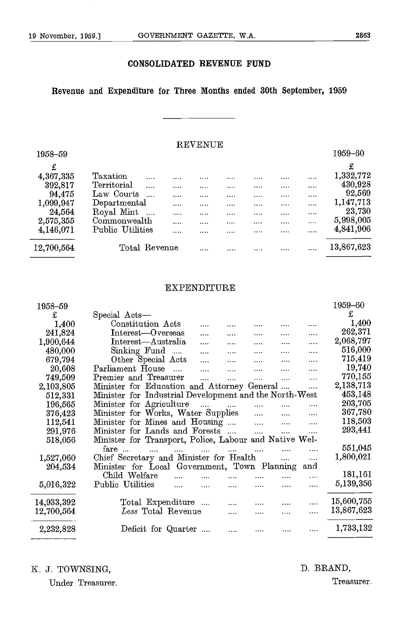#### CONSOLIDATED REVENUE FUND

#### Revenue and Expenditure for Three Months ended 30th September, 1959

#### REVENUE

| 1958-59    |                        |      |   |   |           |          | 1959-60    |
|------------|------------------------|------|---|---|-----------|----------|------------|
| £          |                        |      |   |   |           |          | £          |
| 4,367,335  | Taxation<br>           | <br> | . | . |           |          | 1,332,772  |
| 392,817    | Territorial<br>        | <br> |   |   | $- - - -$ | $\cdots$ | 430,928    |
| 94,475     | Law Courts             | <br> |   |   |           |          | 92,569     |
| 1,099,947  | Departmental           | <br> |   |   |           | $\cdots$ | 1,147,713  |
| 24,564     | Royal Mint<br>$\ddots$ | <br> |   |   |           | $\cdots$ | 23,730     |
| 2,575,355  | Commonwealth           | <br> |   |   | $\cdots$  |          | 5,998,005  |
| 4,146,071  | Public Utilities       | <br> |   |   |           | $\cdots$ | 4,841,906  |
|            |                        |      |   |   |           |          |            |
| 12,700,564 | Total Revenue          |      | . |   |           | $\cdots$ | 13,867,623 |
|            |                        |      |   |   |           |          |            |

#### EXPENDITURE

| 1958-59    |                                                            | 1959-60    |
|------------|------------------------------------------------------------|------------|
| £          | Special Acts-                                              | £          |
| 1,400      | Constitution Acts                                          | 1,400      |
| 241,824    | Interest-Overseas<br><br><br>                              | 262,371    |
| 1,900,644  | Interest—Australia<br><br>$\cdots$                         | 2,068,797  |
| 480,000    | Sinking Fund<br>$\mathbf{u}$<br>.<br>                      | 516,000    |
| 679,794    | Other Special Acts<br>                                     | 715,419    |
| 20,608     | Parliament House<br>$\mathbf{r}$<br>$\cdots$               | 19,740     |
| 749,509    | Premier and Treasurer<br>$\cdots$<br>$\cdots$<br><br>      | 770,155    |
| 2,103,805  | Minister for Education and Attorney General<br>.           | 2,138,713  |
| 512,331    | Minister for Industrial Development and the North-West     | 453,148    |
| 196,565    | Minister for Agriculture<br>$\mathbf{r}$<br>$\cdots$       | 203,705    |
| 376,423    | Minister for Works, Water Supplies<br>$\cdots$             | 367,780    |
| 112,541    | Minister for Mines and Housing<br>$\mathbf{1}$<br>$\cdots$ | 118,503    |
| 291,976    | Minister for Lands and Forests<br>$\mathbf{1}$<br><br>     | 293,441    |
| 518,056    | Minister for Transport, Police, Labour and Native Wel-     |            |
|            | $f$ are<br>.<br>                                           | 551,045    |
| 1,527,060  | Chief Secretary and Minister for Health<br>$\cdots$<br>    | 1,800,021  |
| 204,534    | Minister for Local Government, Town Planning<br>and        |            |
|            | Child Welfare<br>.                                         | 181,161    |
| 5,016,322  | Public Utilities<br><br>$\cdots$                           | 5,139,356  |
| 14,933,392 | Total Expenditure                                          | 15,600,755 |
| 12,700,564 | $\it Less$ Total Revenue<br><br>.<br>$\cdots$              | 13,867,623 |
|            |                                                            |            |
| 2,232,828  | Deficit for Quarter                                        | 1,733,132  |

#### K. J. TOWNSING, D. BRAND,

Under Treasurer. Treasurer.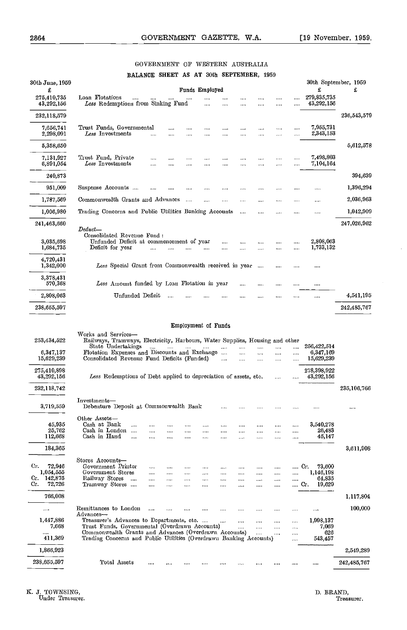$\bar{\gamma}$ 

#### GOVERNMENT OF WESTERN AUSTRALIA BALANCE SHEET AS AT 30th SEPTEMBER, 1959

| 30th June, 1959                                               |                                                                                                                                                                                                                                                                                                                                                                                                                    | 30th September, 1959 |
|---------------------------------------------------------------|--------------------------------------------------------------------------------------------------------------------------------------------------------------------------------------------------------------------------------------------------------------------------------------------------------------------------------------------------------------------------------------------------------------------|----------------------|
| £                                                             | £<br>Funds Employed                                                                                                                                                                                                                                                                                                                                                                                                | £                    |
| 275.410.735<br>43,292,156                                     | Loan Flotations<br>279.835,735<br>$\cdots$<br>$\cdots$<br>$\cdots$<br>$\cdots$<br><br>Less Redemptions from Sinking Fund<br>43,292,156<br><br>                                                                                                                                                                                                                                                                     |                      |
| 232,118,579                                                   |                                                                                                                                                                                                                                                                                                                                                                                                                    | 236,543,579          |
| 7,656,741<br>2,298,091                                        | Trust Funds. Governmental<br>7,955,731<br><br><br>.<br><br><br><br>2,343,153<br>$\it Less$ $\rm\,Investments$<br><br><br>$\cdots$<br>$\cdots$<br><br>$\cdots$<br><br>                                                                                                                                                                                                                                              |                      |
| 5,358,650                                                     |                                                                                                                                                                                                                                                                                                                                                                                                                    | 5,612,578            |
| 7,131,927<br>6.891,054                                        | 7,498,803<br>Trust Fund, Private<br><br><br>Less Investments<br>7.104,164<br>.<br><br>.<br><br>.<br>.<br>.<br>$\cdots$<br>.                                                                                                                                                                                                                                                                                        |                      |
| 240,873                                                       |                                                                                                                                                                                                                                                                                                                                                                                                                    | 394,639              |
| 951,009                                                       | Suspense Accounts<br><br><br><br><br>.<br><br>$\cdots$<br><br>                                                                                                                                                                                                                                                                                                                                                     | 1,396,294            |
| 1,787,569                                                     | Commonwealth Grants and Advances<br>$\cdots$<br>$\cdots$<br>$\cdots$<br>$\cdots$                                                                                                                                                                                                                                                                                                                                   | 2,036,963            |
| 1,006,980                                                     | Trading Concerns and Public Utilities Banking Accounts<br>$\cdots$<br>$\cdots$<br>$\cdots$<br>.<br>                                                                                                                                                                                                                                                                                                                | 1,042,909            |
| 241,463,660                                                   | Deduct                                                                                                                                                                                                                                                                                                                                                                                                             | 247,026.962          |
| 3,035,698                                                     | Consolidated Revenue Fund:<br>Unfunded Deficit at commencement of year<br>2.808,063<br>$\cdots$<br><br>                                                                                                                                                                                                                                                                                                            |                      |
| 1,684,735                                                     | 1,733,132<br>Deficit for year<br>.<br>                                                                                                                                                                                                                                                                                                                                                                             |                      |
| 4,720,431<br>1,342,000                                        | Less Special Grant from Commonwealth received in year<br>$\sim$<br>$\cdots$<br>$\cdots$<br>                                                                                                                                                                                                                                                                                                                        |                      |
| 3,378,431<br>570,368                                          | Less Amount funded by Loan Flotation in year<br><br><br>                                                                                                                                                                                                                                                                                                                                                           |                      |
| 2,808,063                                                     | Unfunded Deficit<br>$\cdots$<br><br>$\cdots$<br>                                                                                                                                                                                                                                                                                                                                                                   | 4,541,195            |
| 238,655,597                                                   |                                                                                                                                                                                                                                                                                                                                                                                                                    | 242,485,767          |
| 253,434,522<br>6,347,137                                      | <b>Employment of Funds</b><br>Works and Services-<br>Railways, Tramways, Electricity, Harbours, Water Supplies, Housing and other<br>State Undertakings<br>256,422,514<br>1.111<br><br><br>                                                                                                                                                                                                                        |                      |
| 15,629,239                                                    | Flotation Expenses and Discounts and Exchange<br>6,347,169<br>$\cdots$<br><br>$\cdots$<br>$\cdots$<br><br>Consolidated Revenue Fund Deficits (Funded)<br>15,629,239<br>$\ddotsc$<br><br>$\cdots$<br>$\cdots$<br>                                                                                                                                                                                                   |                      |
| 275,410,898<br>43,292,156                                     | 278,398,922<br>Less Redemptions of Debt applied to depreciation of assets, etc.<br>43,292,156<br>$\cdots$                                                                                                                                                                                                                                                                                                          |                      |
| 232,118,742                                                   |                                                                                                                                                                                                                                                                                                                                                                                                                    | 235,106.766          |
| 3,719,559                                                     | Investments-<br>Debenture Deposit at Commonwealth Bank                                                                                                                                                                                                                                                                                                                                                             |                      |
| 45,935<br>25,762<br>112,668                                   | Other Assets-<br>3,540,278<br>Cash at Bank<br><br><br>.<br><br>$\cdots$<br>Cash in London<br>26,483<br>$\overline{1}$<br>$\cdots$<br>$\cdots$<br>$\cdots$<br>.<br><br><br>.<br>Cash in Hand<br>45,147<br>.<br><br><br><br><br>                                                                                                                                                                                     |                      |
| 184,365                                                       |                                                                                                                                                                                                                                                                                                                                                                                                                    | 3,611,908            |
| Сr.<br>72,946<br>1,054,555<br>142,875<br>Cr.<br>Cr.<br>72,726 | Stores Accounts-<br>Government Printer<br>73,600<br>G.<br><br>$\cdots$<br><br><br>.<br>Government Stores<br>1,146,198<br><br><br>.<br>$\cdots$<br><br><br><br>.<br>Railway Stores<br>64,835<br>$\overline{\phantom{a}}$<br><br>$\cdots$<br>$\cdots$<br><br><br><br>$\cdots$<br>$\cdots$<br>$\cdots$<br>19,629<br>Tramway Stores<br>Cr.<br><br>$\cdots$<br>$\cdots$<br><br>$\cdots$<br>$\cdots$<br><br>$\cdots$<br> |                      |
| 766,008                                                       |                                                                                                                                                                                                                                                                                                                                                                                                                    | 1,117,804            |
|                                                               | Remittances to London<br>.<br><br><br>                                                                                                                                                                                                                                                                                                                                                                             | 100,000              |
| 1,447,886<br>7,668                                            | Advances-<br>Treasurer's Advances to Departments, etc.<br>1,998,137<br>$\cdots$<br><br>$\cdots$<br>.<br><br>Trust Funds, Governmental (Overdrawn Accounts)<br>7,069<br>.<br><br><br>,                                                                                                                                                                                                                              |                      |
| <br>411,369                                                   | Commonwealth Grants and Advances (Overdrawn Accounts)<br>$\cdots$<br>$\cdots$<br>$\cdots$<br>Trading Concerns and Public Utilities (Overdrawn Banking Accounts)<br>543,457<br>$\cdots$                                                                                                                                                                                                                             | 626                  |
| 1,866,923                                                     |                                                                                                                                                                                                                                                                                                                                                                                                                    | 2,549,289            |

K. J. TOWNSING,<br>Under Treasurer.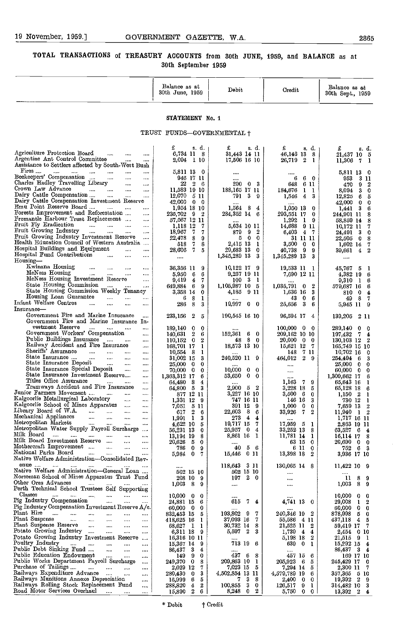#### TOTAL TRANSACTIONS of TREASURY ACCOUNTS from 30th JUNE, 1959, and BALANCE as at 30th September 1959

|                                                                                                                                                                                                                                                                                                                                                                                                                                                                                                                                                                                                                                                                                                                                                                                                                                                                                                                                                                                                                                                                                                                                                                                                                                                                                                                                                                                               | Balance as at<br>30th June, 1959                                                                                                                                                                                                                                                                                                                                                                           | Debit                                                                                                                                                                                                                                                                                                                                                   | Credit                                                                                                                                                                                                                                                                                                                                                                                    | Balance as at<br>30th Sept., 1959                                                                                                                                                                                                                                                                                                                                                                                      |
|-----------------------------------------------------------------------------------------------------------------------------------------------------------------------------------------------------------------------------------------------------------------------------------------------------------------------------------------------------------------------------------------------------------------------------------------------------------------------------------------------------------------------------------------------------------------------------------------------------------------------------------------------------------------------------------------------------------------------------------------------------------------------------------------------------------------------------------------------------------------------------------------------------------------------------------------------------------------------------------------------------------------------------------------------------------------------------------------------------------------------------------------------------------------------------------------------------------------------------------------------------------------------------------------------------------------------------------------------------------------------------------------------|------------------------------------------------------------------------------------------------------------------------------------------------------------------------------------------------------------------------------------------------------------------------------------------------------------------------------------------------------------------------------------------------------------|---------------------------------------------------------------------------------------------------------------------------------------------------------------------------------------------------------------------------------------------------------------------------------------------------------------------------------------------------------|-------------------------------------------------------------------------------------------------------------------------------------------------------------------------------------------------------------------------------------------------------------------------------------------------------------------------------------------------------------------------------------------|------------------------------------------------------------------------------------------------------------------------------------------------------------------------------------------------------------------------------------------------------------------------------------------------------------------------------------------------------------------------------------------------------------------------|
|                                                                                                                                                                                                                                                                                                                                                                                                                                                                                                                                                                                                                                                                                                                                                                                                                                                                                                                                                                                                                                                                                                                                                                                                                                                                                                                                                                                               | STATEMENT No. 1                                                                                                                                                                                                                                                                                                                                                                                            |                                                                                                                                                                                                                                                                                                                                                         |                                                                                                                                                                                                                                                                                                                                                                                           |                                                                                                                                                                                                                                                                                                                                                                                                                        |
|                                                                                                                                                                                                                                                                                                                                                                                                                                                                                                                                                                                                                                                                                                                                                                                                                                                                                                                                                                                                                                                                                                                                                                                                                                                                                                                                                                                               | TRUST FUNDS—GOVERNMENTAL †                                                                                                                                                                                                                                                                                                                                                                                 |                                                                                                                                                                                                                                                                                                                                                         |                                                                                                                                                                                                                                                                                                                                                                                           |                                                                                                                                                                                                                                                                                                                                                                                                                        |
| Agriculture Protection Board<br>$\ldots$<br>$\cdots$<br>$\cdots$<br>Argentine Ant Control Committee<br>$\cdots$<br><br>Assistance to Settlers affected by South-West Bush                                                                                                                                                                                                                                                                                                                                                                                                                                                                                                                                                                                                                                                                                                                                                                                                                                                                                                                                                                                                                                                                                                                                                                                                                     | £<br>s. d.<br>6,734 11 8<br>2,094 1 10                                                                                                                                                                                                                                                                                                                                                                     | £<br>s. d.<br>31,443 14 11<br>17,506 16 10                                                                                                                                                                                                                                                                                                              | s. d.<br>£<br>46,146 13 8<br>26,719 2 1                                                                                                                                                                                                                                                                                                                                                   | £<br>s. d.<br>21,437 10 5<br>11,306 7<br>$\mathbf{1}$                                                                                                                                                                                                                                                                                                                                                                  |
| Fires<br>$\ldots$<br>$\cdots$<br>$\sim$ $\sim$<br>$\sim$<br>$\cdots$<br><br>Beekeepers' Compensation<br>$\cdots$ .<br>$\cdots$<br>$\cdots$<br>Charles Hadley Travelling Library<br><br>Crown Law Advance<br>and the contract of the contract<br>$\sim$ 1000 $\sim$<br>$\cdots$<br>Dairy Cattle Compensation<br>$\cdots$<br><br>Dairy Cattle Compensation Investment Reserve<br>Emu Point Reserve Board<br>$\sim$ 1000 $\sim$<br><br>Forests Improvement and Reforestation<br><br>Fremantle Harbour Trust Replacement<br>$\cdots$<br>Fruit Fly Eradication<br>$\ldots$ . $\ldots$ . $\ldots$<br>$\ddotsc$<br>Fruit Growing Industry<br>$\cdots$<br>Fruit Growing Industry Investment Reserve<br>$\cdots$<br>Health Education Council of Western Australia<br>Hospital Buildings and Equipment<br>$\cdots$<br><br>Hospital Fund Contributions<br>$\cdots$<br>$\cdots$<br><br>Housing-                                                                                                                                                                                                                                                                                                                                                                                                                                                                                                           | 5,811 13 0<br>946 17 11<br>22<br>26<br>11,583 19 10<br>$12,070$ 5 11<br>$42,000 \quad 0 \quad 0$<br>1,954 18 10<br>235,702 9 2<br>57,567 12 11<br>1,113 12<br>-7<br>- 7<br>18,967<br>7.<br>22,478 8<br>9<br>$\sqrt{7}$<br>8<br>518<br>28,606 7<br>5<br>                                                                                                                                                    | $\cdots$<br><br>20003<br>188,165 17 11<br>$\begin{array}{ccc} 791 & 3 & 9 \end{array}$<br>$$<br>1,564 8<br>4<br>284,352 14 6<br>$$<br>5,634 10 11<br>879<br>9 <sub>2</sub><br>500<br>2,415 13 1<br>29,683 13 0<br>1,345,289 13<br>- 3                                                                                                                   | <br>$6\quad 0$<br>6<br>648<br>6 11<br>184,676<br>$1\quad1$<br>1,546<br>4<br>3<br>$\cdots$<br>1,050 13<br>-0<br>293,551 17<br>0<br>1,292<br>19<br>14,688<br>911<br>6,403<br>47<br>31 11 11<br>3,500<br>$\bf{0}$<br>$\boldsymbol{0}$<br>9<br>40,738<br>9<br>1,345,289 13<br>3                                                                                                               | 5,811 13 0<br>953<br>3 11<br>-9<br>$\boldsymbol{2}$<br>470<br>8,094<br>- 3<br>0<br>12,825<br>-6<br>5<br>42,000<br>$\mathbf{0}$<br>0<br>1,441 3<br>6<br>244,901 11<br>8<br>58,859 14<br>8<br>10,172 11<br>7<br>- 3<br>24,491<br>0<br>$22,505$ 0<br>-8<br>1,602 14<br>7<br>39,661 4<br>$\boldsymbol{2}$<br>$\cdots$                                                                                                      |
| Kwinana Housing<br>$\cdots$<br>$\cdots$<br><br><br>McNess Housing<br>$\cdots$<br><br>$\cdots$<br><br>McNess Housing Investment Rescrve<br>$\cdots$<br>State Housing Commission<br>and the<br>$\cdots$<br>$\cdots$<br>State Housing Commission Weekly Tenancy<br>Housing Loan Guarantee<br>aaan i<br><br>Infant Welfare Centres<br>$\cdots$<br>$\cdots$<br><br>Insurance-                                                                                                                                                                                                                                                                                                                                                                                                                                                                                                                                                                                                                                                                                                                                                                                                                                                                                                                                                                                                                      | 36,356 11<br>$\mathbf{9}$<br>5,950 6<br>6<br>$9,419$ 4<br>-7<br>649,884 6<br>-9<br>3,353 14<br>-0<br>-6<br>- 8<br>1<br>286<br>- 8<br>3                                                                                                                                                                                                                                                                     | $10,122$ 17 9<br>9,257 19 11<br>-31<br>109<br>1,105,987 10 5<br>4,185 9 11<br>$19,997$ 0 0                                                                                                                                                                                                                                                              | 19,533 11 1<br>7,690 12 11<br><br>$1,035,791$ 0 2<br>1,636 16<br>-3<br>43.<br>- 0<br>-6<br>25,656 3<br>6                                                                                                                                                                                                                                                                                  | 45,767 5<br>-1<br>4,382 19 6<br>$9,310 \quad 1 \quad 6$<br>579,687 16<br>6<br>810 0<br>4<br>498<br>7<br>5,945 11 9                                                                                                                                                                                                                                                                                                     |
| Government Fire and Marine Insurance<br>.<br>Government Fire and Marine Insurance In-                                                                                                                                                                                                                                                                                                                                                                                                                                                                                                                                                                                                                                                                                                                                                                                                                                                                                                                                                                                                                                                                                                                                                                                                                                                                                                         | 233,156 2<br>5                                                                                                                                                                                                                                                                                                                                                                                             | 190,545 16 10                                                                                                                                                                                                                                                                                                                                           | 96,594 17 4                                                                                                                                                                                                                                                                                                                                                                               | 139,205 2 11                                                                                                                                                                                                                                                                                                                                                                                                           |
| vestment Reserve<br>$\sim$ $\sim$<br>$\cdots$<br><br><br>Government Workers' Compensation<br>$\cdots$<br>Public Buildings Insurance<br>$\cdots$<br>Railway Accident and Fire Insurance<br>$\cdots$<br>Sheriffs' Assurance<br><b>Contract Contract Contract</b><br><b>Sales Control</b><br>$\sim$<br>$\cdots$<br>State Insurance<br>المتبدأ المتبدار<br>$\sim 0.00$<br>$\cdots$<br>State Insurance Deposit<br>$\sim$ $\sim$ $\sim$<br>$\cdots$<br>State Insurance Special Deposit<br>$\ldots$<br>$\ldots$<br>State Insurance Investment Reserve<br>$\cdots$<br>Titles Office Assurance<br>$\sim$ $\sim$ $\sim$<br>$\cdots$<br>$\cdots$<br>Tramways Accident and Fire Insurance<br>$\cdots$<br>Junior Farmers Movement<br>$\cdots$<br>$\cdots$<br>Kalgoorlie Metallurgical Laboratory<br>$\sim$<br>$\cdots$<br>Kalgoorlie School of Mines Apparatus<br>$\sim$<br><br>Library Board of W.A.<br>Mechanical Appliances<br>$\cdots$<br>$\cdots$<br><br>$\cdots$<br>Metropolitan Markets<br>$\cdots$<br><br>Metropolitan Water Supply Payroll Surcharge<br>Milk Board<br>$\overline{\phantom{a}}$<br>$\ldots$<br>$\cdots$<br>$\cdots$<br>$\cdots$<br>$\cdots$<br>Milk Board Investment Reserve<br><br><br>Mothercraft Improvement<br><br>$\cdots$<br><br>National Parks Board<br><br>$\cdots$<br><br><br>Native Welfare Administration-Consolidated Rev-<br>enue<br>$\cdots$<br>$\cdots$<br>$\cdots$ | 189.140 0<br>-0<br>140,631 2<br>-6<br>$110,152$ 0<br>$\boldsymbol{2}$<br>168,701 17<br>-1<br>$10,554$ 8<br>1<br>31,002 15<br>з<br>25,000 0<br>0<br>70,000 0<br>0<br>1,363,312 17<br>6<br>64,480 8<br>4<br>64,800 5 3<br>877 12 11<br>1,331 12 9<br>7,051 5 11<br>$617$ 2<br>-6<br>$1,991 \quad 1$<br>3<br>4,622 10<br>5<br>56,231 13<br>0<br>13,194 19<br>8<br>20,626 5<br>0<br>786 0<br>9<br>5,984 0<br>7 | 152,361 6 0<br>48 8 0<br>18,573 13 10<br><br>240,520 11 9<br>$10,000 \quad 0$<br>$\mathbf 0$<br>53,650 0<br>-0<br>$\cdots$<br>2,900 5 2<br>3,227 16 10<br>747 16 11<br>391 12<br>-9<br>22,603 8<br>-6<br>273 4<br>$\overline{4}$<br>19,717 15 7<br>25,957 0<br>$\overline{4}$<br>8,861 16<br>- 1<br><br>$5\quad 6$<br>40<br>15,446 0 11<br>118,643 3 11 | $100,000 \quad 0 \quad 0$<br>209,162 10 10<br>20,000<br>$0\quad 0$<br>15,621 12 7<br>7 11<br>148<br>464,012<br>$2\quad 9$<br>$\cdots$<br>$\cdots$<br><br>1,163<br>79<br>3,228 18 5<br>3,500<br>- 6<br>0<br>146 16<br>3<br>1,000<br>$\mathbf{0}$<br>0<br>33,926<br>7.<br>2<br>$\cdots$<br>$17,959$ 5 1<br>33,252 13 8<br>11,781 14 1<br>63 15 0<br>6 11 0<br>13,398 18 2<br>$130,065$ 14 8 | 289,140 0<br>-0<br>197,432 7<br>$\overline{\mathbf{4}}$<br>130,103 12 2<br>165,749 15 10<br>10,702 16<br>0<br>254,494 6<br>3<br>25,000 0<br>0<br>60,000 0<br>0<br>1,309,662 17<br>6<br>65,643 16<br>1<br>65,128 18<br>6<br>1.150 2<br>1<br>730 12<br>1<br>7,659 13<br>2<br>$11,940$ 1 2<br>1,717 16 11<br>2,863 19 11<br>63,527 6<br>4<br>16,114 17<br>8<br>20,690 0<br>0<br>752 6 3<br>3,936 17 10<br>$11,422$ $10$ 9 |
| Native Welfare Administration-General Loan<br>Norseman School of Mines Apparatus Trust Fund<br>Other Ores Advances<br>$\sim 100$<br>$\sim 100$<br>Perth Technical School Trustees Self Supporting                                                                                                                                                                                                                                                                                                                                                                                                                                                                                                                                                                                                                                                                                                                                                                                                                                                                                                                                                                                                                                                                                                                                                                                             | 502 15 10<br>208 10<br>- 9<br>$1,003$ 8<br>Ω                                                                                                                                                                                                                                                                                                                                                               | 502 15 10<br>19720<br>$\cdots$                                                                                                                                                                                                                                                                                                                          | <br><br>$\cdots$                                                                                                                                                                                                                                                                                                                                                                          | $\mathbf{u}$<br>-8<br>9<br>1,003<br>8<br>9                                                                                                                                                                                                                                                                                                                                                                             |
| Classes<br>$\sim$<br>$\cdots$<br>$\cdots$<br><br>$\cdots$<br>$\cdots$<br>Pig Industry Compensation<br>$\mathbf{r}$<br>$\cdots$<br>$\cdots$<br>Pig Industry Compensation Investment Reserve A/c.<br>Plant Hire<br>المتعدد التبتين التبيت<br>$\cdots$<br>$\cdots$<br><br>Plant Suspense<br>$\sim 10^{-10}$<br>$\mathbf{r}$<br>$\cdots$<br>$\cdots$<br><br>Plant Suspense Reserve<br>$\cdots$<br>$\cdots$<br><br>Potato Growing Industry<br>$\cdots$<br>$\cdots$<br>$\cdots$<br>Potato Growing Industry Investment Reserve<br>$\cdots$<br>Poultry Industry<br>$\sim$<br>$\cdots$<br>$\cdots$<br>$\cdots$<br>$\cdots$<br>Public Debt Sinking Fund<br>$\cdots$<br>$\cdots$<br>$\cdots$<br>Public Education Endowment<br>$\mathbf{r}$<br>$\cdots$<br>$\cdots$<br>Public Works Department Payroll Surcharge<br>$\cdots$<br>Purchase of Tailings<br>$\mathbf{z}$ and $\mathbf{z}$<br>$\cdots$<br>$\cdots$<br>Railways Expenditure Advance<br>$\cdots$<br>$\cdots$<br>Railways Munitions Annexe Depreciation<br>$\cdots$<br>Railways Rolling Stock Replacement Fund<br>$\cdots$<br>Road Motor Services Overhaul<br>$\sim$ $\sim$<br>$\cdots$<br>$\cdots$                                                                                                                                                                                                                                               | $10,000 \quad 0$<br>0<br>24,881 15<br>6<br>$60,000 \quad 0$<br>0<br>832,453 15<br>5<br>418,625 16<br>1<br>$68,627$ 1<br>1<br>6,311 18<br>-9<br>16,316 10 11<br>15,367 14<br>-9<br>86,437 3<br>4<br>149 9<br>0<br>249,370 0<br>8<br>2,029 12<br>7<br>3<br>280,430 0<br>$16,999$ 6<br>b.<br>288,820<br>4<br>2<br>15,890 2<br>6.                                                                              | <br>615 7<br>4<br>193,802 9<br>7<br>37,093 16<br>- 7<br>30,732 14<br>- 8<br>5,597 2<br>-3<br>713 19 6<br>437 6<br>- 3<br>209,863 10<br>$\mathbf{1}$<br>7,023 15<br>- 5<br>4,502,854 13 11<br>7.<br>3<br>-8<br>100,855 3<br>0<br>8,248 0<br>2                                                                                                            | 4,741 13 0<br>240,346 19 2<br>$55,586$ 4 11<br>21,525 11 2<br>1,739<br>$\overline{4}$<br>4<br>5,198 18<br>2<br>639<br>0 <sub>1</sub><br>457 15 6<br>205,923<br>65<br>7,294 14 5<br>4,579,789 19<br>6<br>2,400<br>$0\quad 0$<br>9<br>1<br>126,517<br>5,750<br>$0\quad 0\quad 1$                                                                                                            | 10,000<br>$\mathbf 0$<br>0<br>29,008<br>-1<br>$\boldsymbol{2}$<br>60,000 0<br>0<br>878,998 5<br>$\mathbf 0$<br>437,118 4<br>5<br>59,419 17 7<br>2,454 0 10<br>21,515 9 1<br>15,292 15<br>$\overline{4}$<br>86,437 3 4<br>169 17 10<br>245,429 17 0<br>2,300 11<br>7<br>357,365 5 10<br>19,392 2<br>-9<br>314,482 10<br>3<br>$13,392 \quad 2 \quad 4$                                                                   |

\* Debit  $\uparrow$  Credit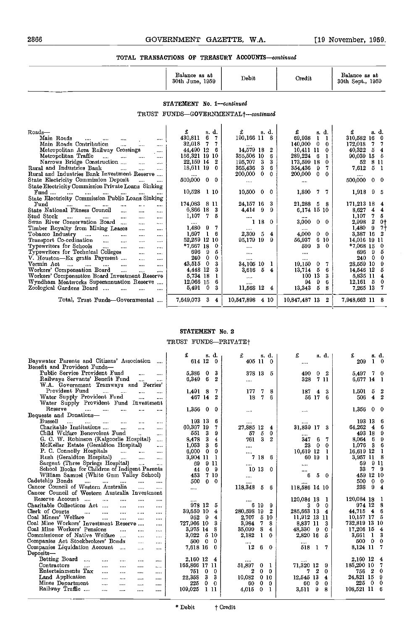| Balance as at<br>30th June, 1959 | Debit | Credit | Balance as at<br>30th Sept., 1959 |  |
|----------------------------------|-------|--------|-----------------------------------|--|
|                                  |       |        |                                   |  |

STATEMENT No. 1-continued

TRUST FUNDS-GOVERNMENTAL<sup>+</sup>--continued

| Roads-                                                                                                                                                       | s. d.<br>£                             | £<br>s. d.                   | £<br>s.d.               | £<br>s. d.                      |
|--------------------------------------------------------------------------------------------------------------------------------------------------------------|----------------------------------------|------------------------------|-------------------------|---------------------------------|
| Main Roads<br>$\cdots$<br>$\cdots$<br>$\cdots$                                                                                                               | 6<br>430,811                           | 190,166 11 8                 | 69,938<br>1             | 310,582 16<br>0                 |
| Main Roads Contribution<br><b>TANK</b><br><br>                                                                                                               | 7<br>32,018                            | 10.11                        | 140,000<br>0<br>0       | 172,018<br>7                    |
| Metropolitan Area Railway Crossings<br>$\cdots$                                                                                                              | 44,490 12<br>6                         | 14,579 18<br>2               | 10,411<br>11<br>0       | 40,322<br>-5<br>4               |
| Metropolitan Traffic<br>$\sim$<br>$\cdots$<br><br>                                                                                                           | 156.321 19<br>10                       | 355,506 10<br>6              | 289,224<br>6            | 90,039 15<br>ō                  |
| Narrows Bridge Construction<br>$\cdots$<br>$\cdots$                                                                                                          | 22,159 14<br>2                         | 3<br>3<br>195,707            | 173,599 18<br>0         | 8 11<br>-52                     |
| Rural and Industries Bank<br>$\ddotsc$<br>$\cdots$<br>                                                                                                       | 18,611 19<br>0                         | 3<br>6<br>365,436            | 354,436<br>9            | 5<br>7,612<br>-1                |
| Rural and Industries Bank Investment Reserve                                                                                                                 |                                        | 200,000<br>0.<br>$\theta$    | 200,000<br>0<br>0       |                                 |
| State Electricity Commission Deposit<br>$\cdots$<br>$\cdots$                                                                                                 | $500,000$ 0<br>0                       | $\cdots$                     |                         | 500,000<br>$\mathbf{0}$<br>-0   |
| State Electricity Commission Private Loans Sinking                                                                                                           |                                        |                              |                         |                                 |
| $\text{Fund}$<br>1.111<br>$\cdots$<br>$\cdots$<br>$- - -$<br>                                                                                                | 10.528 1 10                            | 10,500<br>$\mathbf{0}$<br>-0 | 1,890<br>-7<br>7.       | $1,918$ 9<br>-5                 |
| State Electricity Commission Public Loans Sinking                                                                                                            |                                        |                              |                         |                                 |
| Fund<br>$\cdots$<br>$\cdots$<br>$\mathbf{a} \in \mathbf{A}$<br><br><br>                                                                                      | 174,083 8<br>11                        | 24,157 16<br>3               | 21,288<br>5<br>8        | 171,213 18<br>4                 |
| State National Fitness Council<br>$\cdots$<br>$\cdots$<br>$\cdots$                                                                                           | 6,866 18<br>3                          | 4,414<br>9<br>9              | 6,174 15 10             | 8,627<br>4<br>4                 |
| Stud Stock<br>$\cdots$<br>$\cdots$<br>$\cdots$<br>$\cdots$<br>$\cdots$<br>                                                                                   | 1.107<br>-7<br>5                       |                              |                         | 1,107<br>7<br>5                 |
| Swan River Conservation Board<br>$\cdots$<br>$\cdots$<br>                                                                                                    |                                        | 1 18<br>$\mathbf{0}$         | 3,000<br>0 <sub>0</sub> | $\boldsymbol{2}$<br>2,998<br>0† |
| Timber Royalty from Mining Leases<br><br>$\cdots$                                                                                                            | 1.480<br>-9<br>7.                      |                              |                         | 1,480<br>9<br>71                |
| Tobacco Industry<br><b>Contract Contract Contract</b><br>$\cdots$<br><br><br>                                                                                | 1.697<br>6                             | 2,309<br>5<br>4              | 4,000<br>0<br>-0        | 3,387<br>16                     |
| Transport Co-ordination<br>$\cdots$<br>$\cdots$<br>$\cdots$<br>$\cdots$                                                                                      | 52.259 12<br>10                        | 95,179 19<br>9               | 56,937<br>6<br>-10      | 14,016<br>19 11                 |
| Typewriters for Schools<br>$\cdots$<br><br>$\cdots$<br>                                                                                                      | $*7,667$ 18<br>0                       |                              | 599<br>3<br>0           | $*7,068$ 15<br>0                |
| Typewriters for Technical Colleges<br>$\cdots$<br>$\cdots$                                                                                                   | 5<br>696<br>9                          | $\cdots$                     | 1.111                   | 9<br>606<br>5                   |
| V. Houston—Ex gratia Payment<br>$\cdots$                                                                                                                     | 240<br>$\Omega$<br>0                   |                              | $1 - 1 - 1$             | -0<br>0<br>240                  |
| Vermin Act<br><b>College</b><br>$\sim 100$<br>$\mathbf{r}$ and $\mathbf{r}$ . The $\mathbf{r}$<br>$\sim$ $\sim$<br>$\mathbf{r}$ and $\mathbf{r}$<br>$\cdots$ | 43,515<br>0<br>з                       | 34,105 10                    | 19,150<br>7.<br>0       | 28,559 10                       |
| Workers' Compensation Board<br>$\sim$ - $\sim$<br>$\cdots$<br>$\cdots$                                                                                       | 4,448 12<br>3                          | 3,616<br>5<br>4              | 13,714<br>5<br>6        | 14,546 12                       |
| Workers' Compensation Board Investment Reserve                                                                                                               | 5.734 18                               |                              | 13<br>100<br>3          | 5,835 11                        |
| Wyndham Meatworks Superannuation Reserve                                                                                                                     | 12,066 15<br>6                         |                              | 94<br>9<br>6            | 12,161<br>- 5<br>0              |
| Zoological Gardens Board<br>$\cdots$<br>$\cdots$                                                                                                             | 5,491<br>3<br>$\mathbf{0}$             | <br>11,568 12<br>4           | 5<br>13,343<br>8        | 7,265 13                        |
|                                                                                                                                                              |                                        |                              |                         |                                 |
| Total, Trust Funds—Governmental                                                                                                                              | 7,649,073<br>3<br>$\blacktriangleleft$ | 10,547,898<br>4 10           | 10,847,487 13 2         | 7,948,662 11                    |
|                                                                                                                                                              |                                        |                              |                         |                                 |
|                                                                                                                                                              |                                        |                              |                         |                                 |

#### STATEMENT No. 2 TRUST FUNDS-PRIVATEt

| Bayswater Parents and Citizens' Association<br>$\cdots$                                          | 614 12        | s d.<br>0                        | £<br>s. d.<br>405 11 0      | £<br>s. d.<br>            | s. d.<br>$\bf{1}$<br>209<br>0        |
|--------------------------------------------------------------------------------------------------|---------------|----------------------------------|-----------------------------|---------------------------|--------------------------------------|
| Benefit and Provident Funds-                                                                     |               |                                  |                             |                           |                                      |
| Public Service Provident Fund<br>$\cdots$<br>                                                    | 5.386         | 3<br>0                           | 378 13<br>-5                | 490<br>2<br>0             | $-7$<br>5,497<br>$^{\circ}$          |
| Railways Servants' Benefit Fund<br>$\cdots$<br>$\cdots$<br>W.A. Government Tramways and Ferries' | 6.349         | 6<br>$\mathbf{2}$                |                             | 323<br>7 11               | 6,677 14 1                           |
| Provident Fund<br>$\cdots$<br>$\sim$ . $\sim$                                                    | 1,491 8       | 7.                               | 177<br>7<br>8               | 187<br>з<br>4             | 1,501<br>2<br>5                      |
| $\cdots$<br>$\cdots$<br>Water Supply Provident Fund<br>$\cdots$                                  | 467 14        | $\mathbf{2}$                     | 7<br>18<br>6                | 56<br>17<br>6             | 506<br>4<br>2                        |
| Water Supply Provident Fund Investment                                                           |               |                                  |                             |                           |                                      |
| Reserve<br>$\cdots$<br>$\cdots$<br><br>$\cdots$<br>                                              | 1.356         | $\mathbf 0$<br>$\mathbf 0$       | $\sim$ $\sim$ $\sim$        | $\sim$ $\sim$ $\sim$      | 1,356<br>$\mathbf{0}$<br>0           |
| Bequests and Donations-                                                                          |               |                                  |                             |                           |                                      |
| <b>Bussell</b><br>$\cdots$<br>$\cdots$<br>$\cdots$<br>$\cdots$<br>$\cdots$<br>$\cdots$           | 193 13        | 6                                |                             |                           | 193 13<br>6                          |
| Charitable Institutions<br>$\cdots$<br><br>                                                      | 60.307 19     | 7                                | 27.885 12<br>4              | 31,839 17<br>3            | 64,262<br>6<br>-4                    |
| Child Welfare Benevolent Fund<br>$\cdots$                                                        | 551           | -3<br>9                          | 5<br>0<br>57                |                           | 493 18<br>9                          |
| G. C. W. Robinson (Kalgoorlie Hospital)<br>$\cdots$                                              | 8.473         | 3<br>4                           | 3<br>2<br>761               | 6<br>7<br>347             | - 6<br>8.064<br>9                    |
| McKellar Estate (Geraldton Hospital)<br>$\cdots$                                                 | 1,053         | 3<br>6                           | $\cdots$                    | 23<br>0<br>$\bf{0}$       | 1,076<br>-3<br>6                     |
| P. C. Connolly Hospitals<br>$\sim 10^{11}$ km s $^{-1}$<br>$\cdots$<br>$\cdots$                  | 6.000         | 0<br>0                           |                             | 10.619 12<br>1            | 16,619 12                            |
| Rush (Geraldton Hospital)<br>$\cdots$<br>$\cdots$                                                | 3 904 11      |                                  | 7 18<br>- 6                 | 60 19<br>1                | 8<br>3,957 11                        |
| Sargent (Three Springs Hospital)<br>$\sim 100$<br>$\cdots$                                       | 69            | 9 11                             | $\cdots$                    | $\cdots$                  | 9 11<br>69                           |
| School Books for Children of Indigent Parents<br>William Samuel (White Gum Valley School)        | 44            | $\mathbf{0}$<br>$\Omega$         | 10 13<br>- 0                | 1.111                     | 33<br>7.<br>9<br>459 12 10           |
| Cadetship Bonds                                                                                  | 453<br>500    | 7 10<br>$\mathbf{0}$<br>$\Omega$ | $\cdots$                    | 6<br>5<br>$\Omega$        | 500<br>$\mathbf{0}$<br>-0            |
| $\cdots$<br><br>$\cdots$<br>$\cdots$<br>Cancer Council of Western Australia                      |               |                                  | 118,348<br>-5<br>6          | $\cdots$<br>118,586 14 10 | 238<br>9<br>4                        |
| $\cdots$<br><br>Cancer Council of Western Australia Investment                                   |               |                                  |                             |                           |                                      |
| Reserve Account<br>$\cdots$<br>$\cdots$<br>$\cdots$<br>                                          |               |                                  |                             | 120,084 18<br>- 1         | 120,084 18<br>-1                     |
| Charitable Collections Act<br>$\cdots$<br>$\cdots$<br>$\cdots$                                   | 973 12        | 5                                | 619<br>-9                   | 3.<br>0<br>$\theta$       | 974 12<br>-8                         |
| Clerk of Courts<br>$\cdots$<br>$\cdots$<br>$\cdots$<br>$\cdots$<br>$\cdots$                      | 39,650 10     | 4                                | 280,598 19<br>2             | 285,663 13 4              | 44.715 4<br>6                        |
| Coal Miners' Welfare<br>$\cdots$<br>$\cdots$<br>$\cdots$<br>                                     | 052           | 9<br>4                           | 5 10<br>2,707               | 11,912 13 11              | 10.157 17<br>-5                      |
| Coal Mine Workers' Investment Reserve<br>$\cdots$                                                | 727.966 10    | 3                                | 3,984<br>8<br>7             | 8.837 11<br>3             | 732,819 13 10                        |
| Coal Mine Workers' Pensions<br>$\ddot{\phantom{a}}$<br>$\cdots$<br>$\cdots$                      | 3.975 14      | 8                                | 35,099<br>8<br>$\mathbf{4}$ | 48,330 9<br>0             | 17,206 15<br>$\overline{\mathbf{4}}$ |
| Commissioner of Native Welfare<br>$\cdots$<br>$\cdots$                                           | 3.022         | 510                              | 2,182<br>$^{\circ}$<br>1    | 2,820 16<br>5             | 3,661<br>3<br>$\mathbf{1}$           |
| Companies Act Stockbrokers' Bonds<br>$\cdots$<br>$\cdots$                                        | 500           | $\Omega$<br>0                    |                             | 1.141                     | 500<br>0<br>0                        |
| Companies Liquidation Account<br>$\cdots$<br>                                                    | 7,618 16      | 0                                | 12<br>$\Omega$<br>6         | 518<br>7<br>$\mathbf{1}$  | 8,124 11<br>7                        |
| Deposits-                                                                                        |               |                                  |                             |                           |                                      |
| Betting Board<br>$\cdots$<br><br><br><br>$\cdots$                                                | 2,160 12      | 4                                |                             |                           | 2,160 12<br>4                        |
| Contractors<br>$\cdots$<br>$\cdots$<br>$\cdots$<br>$\cdots$<br>$\cdots$                          | 165,866 17 11 |                                  | 51.897<br>- 0<br>-1         | 71,320 12<br>9            | 185,290 10<br>7                      |
| Entertainments Tax<br>$\ldots$<br>$\cdots$<br>$\cdots$<br>$\cdots$                               | 751           | 0<br>0                           | 2<br>$\Omega$<br>0          | 2<br>0<br>7.              | - 2<br>0<br>756                      |
| Land Application<br>$\cdots$<br>$\cdots$<br>$\cdots$<br>$\cdots$                                 | 22,358        | 3<br>3                           | 10,082<br>0 <sub>10</sub>   | 12,545 13<br>4            | 24,821 15<br>9                       |
| Mines Department<br>$\sim 100$<br>$\cdots$<br>$\cdots$<br>                                       | 225           | $\mathbf{0}$<br>$\mathbf{0}$     | 0<br>$\Omega$<br>60         | 0<br>60<br>0              | 225<br>$\overline{\phantom{0}}$<br>0 |
| Railway Traffic<br>$\cdots$<br>$\cdots$<br>$\cdots$<br>                                          | 109,025       | 1 11                             | 4,015<br>0<br>1             | 3,511<br>9<br>8           | 108,521 11<br>6                      |
|                                                                                                  |               |                                  |                             |                           |                                      |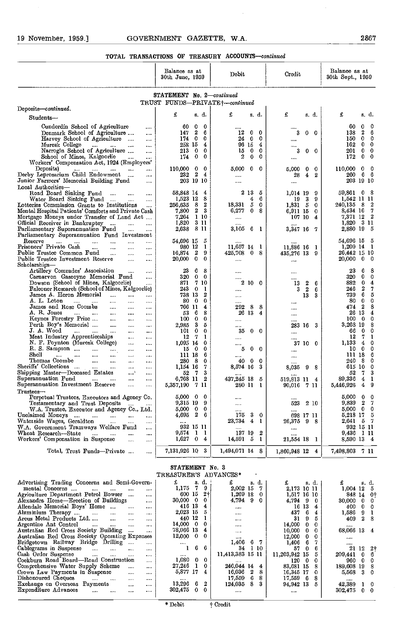$\frac{1}{2}$ 

|                                                                                                               | 30th June, 1959                                             |                                                | Credit                                    | 30th Sept., 1959                       |
|---------------------------------------------------------------------------------------------------------------|-------------------------------------------------------------|------------------------------------------------|-------------------------------------------|----------------------------------------|
|                                                                                                               | STATEMENT No. 2-continued<br>TRUST FUNDS-PRIVATE+-continued |                                                |                                           |                                        |
| Deposits-continued.                                                                                           |                                                             |                                                |                                           |                                        |
| Students-                                                                                                     | £<br>s. d.                                                  | £<br>s. d.                                     | £<br>s. d.                                | £<br>s. d.                             |
| Cunderdin Sehool of Agriculture<br>$\cdots$                                                                   | 0<br>60<br>0                                                |                                                |                                           | 0<br>60<br>0                           |
| Denmark School of Agriculture<br>$\cdots$                                                                     | $\boldsymbol{2}$<br>6<br>147                                | 12<br>0<br>0                                   | 3<br>0<br>0                               | 2<br>6<br>138                          |
| Harvey School of Agriculture<br>$\cdots$                                                                      | $\overline{\mathbf{0}}$<br>0<br>174.                        | 24<br>- 0<br>0                                 |                                           | $\bf{0}$<br>$\Omega$<br>150            |
| Muresk College<br><b>Contract</b><br>$\ldots$<br>$\cdots$<br><b>Service</b><br>Narrogin School of Agriculture | 258 15<br>4<br>$\mathbf{0}$<br>213<br>0                     | 96 15<br>4<br>15<br>- 0<br>0                   | $\cdots$<br>3<br>0<br>-0                  | 162<br>0<br>0<br>201<br>0<br>0         |
| $\cdots$<br>School of Mines, Kalgoorhe<br>$\cdots$                                                            | $\mathbf{0}$<br>174<br>0                                    | 2<br>$\bf{0}$<br>0                             |                                           | 172<br>$\bf{0}$<br>0                   |
| Workers' Compensation Act, 1924 (Employers'                                                                   |                                                             |                                                |                                           |                                        |
| Deposits)<br>                                                                                                 | 110,000<br>0<br>0                                           | 5,000<br>0<br>0                                | 5,000<br>0<br>0                           | 0<br>110,000<br>0                      |
| Derby Leprosarium Child Endowment<br><br>Junior Farmers' Memorial Building Fund<br>$\cdots$                   | $\boldsymbol{2}$<br>232<br>4<br>203 19 10                   |                                                | 28<br>4<br>2                              | -6<br>- 6<br>260<br>203 19 10          |
| Local Authorities-                                                                                            |                                                             | $\cdots$                                       |                                           |                                        |
| Road Board Sinking Fund<br>$\cdots$<br>$\cdots$<br>$\cdots$                                                   | 58,848 14<br>4                                              | 213<br>5                                       | 1,014 19<br>9                             | 59,861 0 8                             |
| Water Board Sinking Fund<br>$\cdots$<br>                                                                      | 1,523 12<br>8                                               | 6<br>4                                         | 3<br>9<br>19                              | 1,542 11 11                            |
| Lotteries Commission Grants to Institutions<br>$\ldots$                                                       | 8<br>2<br>256,635<br>2<br>3<br>7,800                        | 18,331<br>5<br>0<br>6,277<br>$\mathbf{0}$<br>8 | 1,831 5<br>0                              | 240,135 8<br>2<br>7<br>8,434 16        |
| Mental Hospital Patients' Comforts and Private Cash<br>Mortgage Moneys under Transfer of Land Act             | 110<br>7,264                                                | $\cdots$                                       | 6,911 15<br>0<br>107 10<br>$\overline{4}$ | -2<br>7,371 12                         |
| Official Receiver in Bankruptcy<br>$\cdots$<br>                                                               | 3 11<br>1,820                                               |                                                |                                           | 1,820 3 11                             |
| Parliamentary Superannuation Fund<br>$\cdots$<br>                                                             | -8-11<br>2,638                                              | 3,105 6 1                                      | 3,347 16 7                                | 2,880 19<br>5                          |
| Parliamentary Superannuation Fund Investment                                                                  |                                                             |                                                |                                           | -5                                     |
| Reserve<br><br><br><br><br><br>Prisoners' Private Cash<br>$\cdots$<br>$\cdots$<br>$\cdots$<br>                | 54,696 15<br>5<br>980 12<br>1                               | <br>11,657 14 1                                | <br>11,886 16 1                           | 54,696 15<br>$1,209$ 14 1              |
| Public Trustee Common Fund<br>$\cdots$<br><br>                                                                | -2<br>9<br>16,874                                           | 425,708<br>$\mathbf{0}$<br>s                   | 435,276 13 9                              | 26,442 15 10                           |
| Public Trustee Investment Reserve<br><br>$\cdots$                                                             | $\mathbf 0$<br>20,000<br>0                                  |                                                | $\cdots$                                  | 20,000<br>$\mathbf{0}$<br>0            |
| Scholarships—<br>Artillery Comrades' Association                                                              | 6                                                           |                                                |                                           | 8                                      |
| $\cdots$<br><br>Carnarvon Gascoyne Memorial Fund<br>$\cdots$                                                  | 23<br>8<br>0.<br>320<br>0                                   | $\cdots$                                       |                                           | 23<br>6<br>320<br>0<br>0               |
| Dowson (School of Mines, Kalgoorlie)<br>                                                                      | 7 10<br>871                                                 | $\cdots$<br>2<br>10 0                          | $\cdots$<br>2<br>6<br>13                  | 0<br>882<br>4                          |
| Faleoner Research (School of Mines, Kalgoorlic)                                                               | 243<br>- 0<br>1                                             | $\cdots$                                       | $\boldsymbol{2}$<br>3<br>6                | 2<br>7<br>246                          |
| James A. Heron Memorial<br>$\cdots$<br>$\cdots$<br>                                                           | 738 13<br>2                                                 | $\cdots$                                       | 13<br>3                                   | 739<br>6<br>5                          |
| A. L. Loton<br><br>$\cdots$<br><br><br>James and Rose Coombs<br>$\cdots$<br><br>                              | $\bullet$<br>-80<br>0<br>766 11<br>4                        | <br>8<br>292<br>- 8                            |                                           | 80.<br>$\mathbf{0}$<br>0<br>474 2<br>8 |
| A. R. Jones<br>$\mathbf{r}$<br>$\cdots$<br>$\cdots$<br>$\cdots$<br>$\cdots$                                   | 6<br>8<br>53                                                | 26 13<br>4                                     | <br>                                      | 26 13<br>4                             |
| Keynes Forestry Prize<br>$\cdots$<br>$\cdots$<br>$\cdots$                                                     | 0<br>100<br>0                                               |                                                |                                           | 100.<br>0<br>- 0                       |
| Perth Boy's Memorial<br>$\cdots$<br>$\cdots$<br>$\cdots$                                                      | 3<br>2,935<br>5                                             | $\cdots$                                       | 233 16<br>3                               | 3,268 19<br>8                          |
| J. A. Wood<br>$\cdots$<br>$\cdots$<br>$\cdots$<br>Meat Industry Apprenticeships<br>$\cdots$<br>$\cdots$       | 0<br>101<br>0<br>7<br>12<br>1                               | 35<br>0<br>0                                   |                                           | 0<br>66<br>-0<br>-7<br>12<br>-1        |
| N. F. Poynton (Muresk College)<br>$\ldots$<br>$\cdots$                                                        | 1,095 14<br>0                                               | $\cdots$                                       | <br>37 10 0                               | 1,133<br>$\overline{4}$<br>0           |
| R. S. Sampson<br>$\cdots$<br>$\cdots$<br>$\cdots$<br>$\cdots$                                                 | 15 0<br>0                                                   | $\bf{0}$<br>5<br>0                             | $\cdots$                                  | 10<br>0<br>0                           |
| Shell<br>$\cdots$<br>$\cdots$<br>$\cdots$<br><br>$\cdots$<br>$\cdots$                                         | 6<br>111 18                                                 | $\cdots$                                       |                                           | 6<br>111 18                            |
| Thomas Coombe<br><br><br><br>$\cdots$<br>Sheriffs' Collections<br>$\cdots$<br>$\cdots$<br><br>$\cdots$        | 280<br>- 8<br>0<br>1,154 16<br>7                            | 40<br>- 0<br>0<br>3<br>8,574 16                | <br>-9<br>8                               | 240<br>- 8<br>0<br>615 10<br>$\bf{0}$  |
| Shipping Master-Deceased Estates<br>'<br>$\cdots$                                                             | -7<br>3<br>52                                               |                                                | 8,035                                     | 3<br>52<br>- 7                         |
| Superannuation Fund<br><b>Contract</b><br>$\cdots$<br>$\cdots$<br>                                            | 6,768 11 2                                                  | 437,245 18<br>5                                | 519,813 11 4                              | 89,336<br>$\overline{4}$<br>-1         |
| Superannuation Investment Reserve<br>$\ldots$<br>$\cdots$                                                     | -7-11<br>5,357,190                                          | 280 11<br>1                                    | $90.016$ 7 11                             | 9<br>4<br>5,446,926                    |
| Trustees--                                                                                                    | $5,000 \quad 0$<br>- 0                                      |                                                |                                           | 5,000<br>$\bf{0}$<br>$\mathbf 0$       |
| Perpetual Trustees, Executors and Ageney Co.<br>Testamentary and Trust Deposits<br>$\ldots$<br>$\cdots$       | 9,315 19 9                                                  | <br>$\cdots$                                   | <br>523<br>2 10                           | 9,839 2 7                              |
| W.A. Trustee, Executor and Agency Co., Ltd.                                                                   | 5,000 0 0                                                   |                                                |                                           | 5,000 0<br>0                           |
| Unclaimed Moneys<br>$\cdots$<br>.<br>                                                                         | $4,695$ 2 6                                                 | 175<br>3<br>0                                  | 698 17 11                                 | 5,218 17 5                             |
| Waterside Wages, Geraldton<br><br><br><br>W.A. Government Tramways Welfare Fund                               | $\cdots$<br>932 15 11                                       | 23,734<br>4<br>-1                              | 26,375 9 8                                | 2,641 5 7<br>932 15 11                 |
| <br>Wheat Research—State<br>$\cdots$<br><br>$\cdots$                                                          | 9,574<br>$1\quad1$                                          | 137 19 2                                       | $\cdots$<br>                              | 9,436 1 11                             |
| Workers' Compensation in Suspense<br><br>                                                                     | $1,627$ 0<br>$\overline{4}$                                 | 14,591 5<br>$\mathbf{1}$                       | 21,554 18 1                               | 8,590 13 4                             |
| Total, Trust Funds—Private<br>                                                                                | 7,131,926 10 3                                              | 1,494,071 14 8                                 | 1,860,948 12 4                            | 7,498,803 7 11                         |

|                                                                                 | IREADURERD ADVANUED      |              |                |                  |              |          |                  |                |       |              |                         |   |
|---------------------------------------------------------------------------------|--------------------------|--------------|----------------|------------------|--------------|----------|------------------|----------------|-------|--------------|-------------------------|---|
| Advertising Trading Concerns and Semi-Govern-                                   | £                        |              | s. d.          |                  |              | s. d.    | £                |                | s. d. | £            | s. d.                   |   |
| mental Concerns<br><b>Contract Contract</b><br>$\cdots$<br>$\cdots$<br>$\cdots$ | 1,175                    | 7.           | -9             | 2,002 15         |              |          | 2,173 10 11      |                |       | $1,004$ 12 5 |                         |   |
| Agrieulture Department Petrol Bowser<br>$\cdots$                                | 600 15                   |              | $2+$           | 1,269 18         |              | -0       | 1,517 16 10      |                |       | 848 14 0+    |                         |   |
| Alexandra Home-Erection of Buildings<br>$\cdots$                                | $30,000 \quad 0$         |              | $\mathbf{0}$   | $4,794$ 9        |              | $\bf{0}$ | $4.794$ 9        |                | - 0   | 30,000       | $\overline{\mathbf{0}}$ |   |
| Allendale Memorial Boys' Home<br>$\cdots$<br>                                   | 416 13                   |              |                |                  |              |          |                  | 16 13          |       | 400          | $\mathbf{0}$            |   |
| Aluminium Therapy<br>$\cdots$<br>$\cdots$<br>                                   | 2,023 15                 |              |                |                  |              |          | 437              | 6              |       | 1,586        | -9                      |   |
| Areus Metal Products Ltd<br>$\cdots$<br>$\cdots$                                | 440 12                   |              |                |                  |              |          | 31               | 9              |       | 409          | 2 <sup>8</sup>          |   |
| Argentine Ant Control<br>$\cdots$<br>$\cdots$<br>$\cdots$<br>$\cdots$           | $14,000 \quad 0 \quad 0$ |              |                | $\cdots$         |              |          | $14,000 \quad 0$ |                |       |              |                         |   |
| Australian Red Cross Society Building<br>$\sim$ $\sim$<br>$\cdots$              | 78,066 13                |              | $\overline{4}$ | $\cdots$         |              |          | 10,000           | - 0            |       | 68,066 13    |                         | 4 |
| Australian Red Cross Society Operating Expenses                                 | $12,000 \quad 0 \quad 0$ |              |                | 1.1.01           |              |          | $12,000 \quad 0$ |                |       |              |                         |   |
| Bridgetown Railway Bridge Drilling<br>$\cdots$                                  | $\cdots$                 |              |                | 1,406 6 7        |              |          | 1,406            | - 6            |       |              |                         |   |
| Cablegrams in Suspense<br><b>Contract</b><br>$\cdots$<br>$\cdots$<br>$\cdots$   |                          | 6.           | -6             | 34               |              | 110      | 57               | -0             |       |              | 21 12 2+                |   |
| Cash Order Suspense<br>$\cdots$<br><br><br>                                     |                          |              |                | 11,413,383 15 11 |              |          | 11,203,942 15    |                |       | 209,441 0 6  |                         |   |
| Cockburn Road Board—Road Construction<br>                                       | 1,080                    |              | $0\quad 0$     |                  |              |          | 120              | $\overline{0}$ |       | 960          | - 0                     |   |
| Comprehensive Water Supply Seheme<br><br>                                       | 27.246                   | $\mathbf{1}$ | 0              | 246,044 14       |              | $\bf{4}$ | 83,681 15        |                |       | 189,608 19   |                         |   |
| Crown Law Payments in Suspense<br>$\cdots$<br>                                  | 5,877 17                 |              |                | 16.036           | $\mathbf{2}$ | 8        | 16,345 17        |                |       | 5,568 3 0    |                         |   |
| Dishonoured Cheques<br>$\cdots$<br>$\cdots$<br><br>                             |                          |              |                | 17,559           |              | -8       | 17,559           | - 6            | -8    |              |                         |   |
| Exchange on Overseas Payments<br><br>$\cdots$                                   | 13,296                   | 6.           | 2              | 124,035          | 8            |          | 94,942 13        |                |       | 42,389 1 0   |                         |   |
| Expenditure Advances<br>$\cdots$<br><br><br>                                    | 302,475                  | 0.           |                |                  |              |          |                  |                |       | 302,475      | $0\quad 0$              |   |
|                                                                                 |                          |              |                |                  |              |          |                  |                |       |              |                         |   |

\* Debit t Credit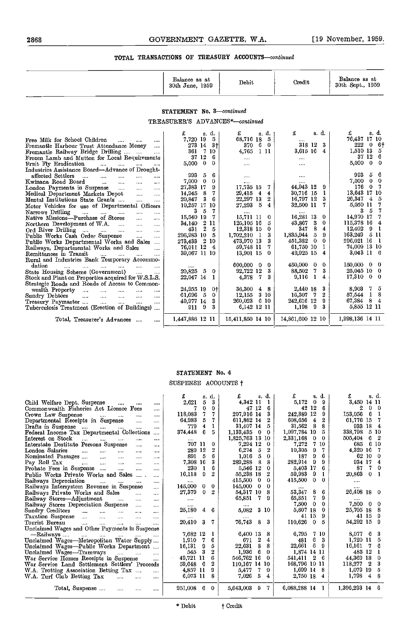|                                                                                                                                                                                                                                                                              | Balance as at<br>30th June, 1959    | Debit                         | Credit                     | Balance as at<br>30th Sept., 1959 |
|------------------------------------------------------------------------------------------------------------------------------------------------------------------------------------------------------------------------------------------------------------------------------|-------------------------------------|-------------------------------|----------------------------|-----------------------------------|
|                                                                                                                                                                                                                                                                              | STATEMENT No. 3-continued           |                               |                            |                                   |
|                                                                                                                                                                                                                                                                              | TREASURER'S ADVANCES*-continued     |                               |                            |                                   |
|                                                                                                                                                                                                                                                                              | s. d.                               | £<br>s. d.                    | £<br>s. d.                 | £<br>s.d.                         |
| Free Milk for School Children<br>$\cdots$                                                                                                                                                                                                                                    | $-5$<br>7,720 19                    | 68,716 18 5                   |                            | 76,437 17 10                      |
| Fremantic Harbour Trust Attendance Money                                                                                                                                                                                                                                     | 273 14 3+                           | 37060                         | 318 12<br>3                | $222$ 0 6 <sup>+</sup>            |
| Fremantle Railway Bridge Drilling<br>$\ddotsc$                                                                                                                                                                                                                               | 361<br>7 10                         | 1 11<br>4.765                 | 3,615 16<br>4              | 1,510 13<br>5                     |
| Frozen Lamb and Mutton for Local Requirements                                                                                                                                                                                                                                | 37 12<br>- 6                        | $\cdots$                      | $\cdots$                   | 37 12<br>- 6                      |
| Fruit Fly Eradication<br>the company of the company of the company                                                                                                                                                                                                           | $\bf{0}$<br>5,000<br>$\mathbf{0}$   | $\cdots$                      | $\cdots$                   | $5,000 \quad 0$<br>- 0            |
| Industries Assistance Board-Advance of Drought-                                                                                                                                                                                                                              |                                     |                               |                            |                                   |
| affected Settlers<br>$\sim$<br>$\cdots$<br>$\cdots$<br>$\cdots$<br>                                                                                                                                                                                                          | 993<br>5<br>6                       |                               | $\cdots$                   | 993 5<br>-6                       |
| Kwinana Road Board<br>$\sim$<br>$\cdots$<br>$\cdots$<br>$\cdots$                                                                                                                                                                                                             | $\overline{0}$<br>7,000<br>$\bf{0}$ | $\cdots$                      |                            | $7,000 \quad 0 \quad 0$           |
| London Payments in Suspense<br>$\cdots$<br>$\cdots$                                                                                                                                                                                                                          | 27,383 17<br>9                      | 17,735 15<br>7                | 44,943 12<br>9             | 176 0 7                           |
| Medical Department Markets Depot<br>$\cdots$<br>$\cdots$                                                                                                                                                                                                                     | - 8<br>14,945<br>7                  | 29,415 4<br>4                 | 30,716 15<br>1             | 13,643 17 10                      |
| Mental Institutions State Grants<br>$\cdots$<br>$\cdots$                                                                                                                                                                                                                     | 3<br>6<br>20,847                    | 22,297 13<br>$\boldsymbol{2}$ | 3<br>16,797 12             | 26,347 4<br>-5                    |
| Motor Vehicles for use of Departmental Officers                                                                                                                                                                                                                              | 10.257 17 10                        | 27,293 5<br>4                 | 32,500 11<br>7             | 5,050 11                          |
| Narrows Drilling<br>$\ddotsc$<br>$\ldots$ . The same is the same in the same in the same in the same in the same in the same in the same in the same in the same in the same in the same in the same in the same in the same in the same in the same in the same<br>$\cdots$ | -5<br>3<br>-7                       |                               | $1 + 1 +$                  | 3 <sub>5</sub><br>7               |
| Native Missions---Purchase of Stores<br>$\sim$<br>$\cdots$                                                                                                                                                                                                                   | 15,540 19<br>- 7                    | 15,711 11<br>-0               | 16,281 13<br>$\bf{0}$      | 14,970 17<br>7                    |
| Northern Development of W.A.<br>$\ddotsc$<br>$\sim$                                                                                                                                                                                                                          | 34,140 2 11                         | 5<br>125,105 16               | 43,867 3<br>0              | 115,378 16<br>4                   |
| Ord River Drilling<br>$\ddotsc$<br>$\ddotsc$                                                                                                                                                                                                                                 | $\overline{2}$<br>431<br>-5         | $\mathbf{0}$<br>12,318 15     | 347<br>8<br>4              | $12.402$ 9 1                      |
| Public Works Cash Order Suspense<br>$\sim$<br>$\cdots$                                                                                                                                                                                                                       | 296,983 10<br>- 5                   | 3<br>$1,702,210$ 1            | 1,835,944 5<br>9           | 163,249 5 11                      |
| Public Works Departmental Works and Sales                                                                                                                                                                                                                                    | 273,433 2 10                        | 473.970 13<br>3               | 451,382 0<br>$\bf{0}$      | 296,021 16 1                      |
| Railways, Departmental Works and Sales                                                                                                                                                                                                                                       | 76,011 12 4                         | 59,748 11<br>7                | 61,750 10<br>1             | 74,009 13 10                      |
| Remittances in Transit<br>$\frac{1}{2}$ . The contract of $\frac{1}{2}$ is the contract of $\frac{1}{2}$<br>$\cdots$                                                                                                                                                         | 39,067 11 10                        | $\mathbf 0$<br>13.901 15      | 49,925 15<br>4             | 3,043 11 6                        |
| Rural and Industries Bank Temporary Accommo-                                                                                                                                                                                                                                 |                                     |                               |                            |                                   |
| dation<br><b>Contract Contract Contract</b><br>$\cdots$<br>$\cdots$<br>$\cdots$                                                                                                                                                                                              |                                     | 600,000 0<br>$\bf{0}$         | 450,000 0<br>$\bf{0}$      | $150,000 \quad 0$<br>-0           |
| State Housing Scheme (Government)<br>$\cdots$                                                                                                                                                                                                                                | 20,825<br>-5<br>$\overline{0}$      | 92,722 12<br>3                | 88,502<br>3<br>7           | 25,045 10<br>0                    |
| Stock and Plant on Properties acquired for W.S.L.S.                                                                                                                                                                                                                          | 22,047 14<br>-1                     | 4.378<br>-7<br>3              | 9,116<br>$\mathbf{1}$<br>4 | $17,310$ 0<br>$\overline{0}$      |
| Strategic Roads and Roads of Access to Common-                                                                                                                                                                                                                               |                                     |                               |                            |                                   |
| wealth Property<br><b>Contractor</b><br><b>Seattle Street</b><br>$\sim$<br>$\cdots$<br>                                                                                                                                                                                      | 24,955 19<br>0+l                    | 36.300<br>48                  | 2,440 18<br>3              | $\overline{7}$<br>5<br>8.903      |
| Sundry Debtors<br><b>Sales Control</b><br><b>Service</b><br>$\ddotsc$<br>$\cdots$<br>$\cdots$                                                                                                                                                                                | 61,696 5<br>$\bf{0}$                | 3 10<br>12.155                | 16,307 7<br>2              | 57,544 1<br>8                     |
| Treasury Paymaster<br>$\cdots$<br>$\cdots$<br>$\cdots$<br>$\cdots$                                                                                                                                                                                                           | - 3<br>49,977 14                    | 260,023<br>6 10               | 242,616 12<br>9            | 67,384 8<br>$\overline{4}$        |
| Tuberculosis Treatment (Erection of Buildings)                                                                                                                                                                                                                               | 9119<br>3                           | 6,142 12 11                   | 1,198 9<br>3               | 5,855 12 11                       |
| Total, Treasurer's Advances<br>$\cdots$                                                                                                                                                                                                                                      | 1,447,886 12 11                     | 15,411,850 14 10              | 14,861,600 12 10           | 1,998,136 14 11                   |

# STATEMENT No. 4

|  | SUSPENSE ACCOUNTS + |  |
|--|---------------------|--|
|  |                     |  |

|                                                                                                                                      | s. d.                        | £<br>s d.                         | £<br>s. d.                     | s. d.                    |
|--------------------------------------------------------------------------------------------------------------------------------------|------------------------------|-----------------------------------|--------------------------------|--------------------------|
| Child Welfare Dept. Suspense<br>$\cdots$<br>$\cdots$<br>$\cdots$                                                                     | 5<br>3<br>2,621              | 4.342 11                          | 5,172<br>$\mathbf 0$<br>9      | 3,450 14 11              |
| Commonwealth Fisheries Act Licence Fees<br>$\cdots$                                                                                  | 0<br>7<br>0                  | 47 12<br>6                        | 42 12<br>6                     | $\mathbf{0}$<br>2<br>- 0 |
| Crown Law Suspense<br><br>$\cdots$                                                                                                   | 7<br>118,083<br>7            | 207.916 14<br>3                   | 242,889 12<br>9                | 153,056<br>6             |
| Departmental Receipts in Suspense<br>$\cdots$<br>$\cdots$                                                                            | 5<br>64,983                  | 611.862 14<br>2                   | 608,656<br>2<br>4              | 61,776 15                |
| Drafts in Suspense $\ldots$ $\ldots$ $\ldots$<br>$\ddotsc$<br>$\cdots$                                                               | 779<br>4                     | 31,407 14<br>5                    | 31,562<br>8<br>8               | 933 18<br>4              |
| Federal Income Tax Departmental Collections                                                                                          | 374,448<br>6<br>5            | 1,133,435<br>$\bf{0}$<br>$\Omega$ | 1,097,784 19<br>5              | 338,798<br>5 10          |
| Interest on Stock<br>$\ddotsc$<br>$\cdots$<br>$\cdots$<br>$\cdots$<br>                                                               |                              | 1,825,763 13 10                   | 2,331,168<br>0.<br>$\Omega$    | 505,404<br>6.            |
| Interstate Destitute Persons Suspensc<br>$\cdots$<br>$\cdots$                                                                        | 707 11                       | 7.294 12<br>0                     | 7<br>7,272<br>-10              | 685<br>6 10              |
| London Salaries<br><b>Committee Street</b><br>$\mathbf{r}$<br>$\cdots$<br>$\cdots$<br>                                               | 289 12<br>2                  | 5<br>6.274                        | 10,305<br>7<br>9               | 4,320 16                 |
| Nominated Passages<br>$\cdots$<br>$\cdots$<br>$\cdots$                                                                               | 5<br>891<br>6                | 5<br>1.016<br>$\mathbf 0$         | 9<br>187<br>6                  | 62 10<br>$\Omega$        |
| Pay Roll Tax<br>$\sim$<br>$\cdots$<br>$\cdots$                                                                                       | 7,308 16<br>3                | 289.288<br>8<br>8                 | 282,914<br>9<br>9              | 934 17<br>4              |
| Probate Fees in Suspense<br>$\ddotsc$<br>$\cdots$<br>                                                                                | 230                          | 5.546 12<br>$\Omega$              | 17<br>5,403<br>6               | 7<br>87<br>$\Omega$      |
| Public Works Private Works and Sales<br>$\cdots$                                                                                     | 9<br>16,118<br>2             | 55,238 18<br>$\bf{2}$             | 59,983<br>9                    | 20,863<br>$\bf{0}$       |
| Railways Depreciation<br>$\cdots$<br>$\cdots$<br>$\cdots$                                                                            |                              | 415.500<br>0<br>0                 | $\bf{0}$<br>415,500<br>0.      | $\cdots$                 |
| Railways Intersystem Revenue in Suspense<br>$\ldots$                                                                                 | 145,000<br>0<br>$\Omega$     | 145,000<br>0<br>$\Omega$          | $\cdots$                       | $\cdots$                 |
| Railways Private Works and Sales<br>$\sim$<br>$\ddotsc$                                                                              | 27,379<br>$\mathbf{0}$<br>2  | 54,317 10<br>8                    | 53,347<br>8<br>6               | 26,408 18 0              |
| Railway Stores—Adjustment<br>$\mathbf{1}$<br>$\cdots$<br>$\cdots$                                                                    | $\cdots$                     | 65,851<br>7.<br>-9                | 7.<br>9<br>65,851              |                          |
| Railway Stores Depreciation Suspense<br>$\cdots$<br>$\cdots$                                                                         |                              | $\cdots$                          | 0<br>7,500<br>0                | 7,500 0<br>$\Omega$      |
| Sundry Creditors<br>$\sim$<br>$\cdots$<br>$\cdots$<br>$\cdots$                                                                       | 25,180<br>6<br>$\ddagger$    | 3 10<br>5,082                     | 5,607 18<br>$\Omega$           | 25,705 18<br>-8          |
| Taxation Suspense<br>$\overline{a}$<br>$\mathbf{r}$<br>$\ddotsc$<br>$\cdots$                                                         | $\cdots$                     |                                   | 41 15<br>9                     | 41 15<br>-9              |
| Tourist Bureau<br><b>Contract Contract</b><br>$\sim$ . $\sim$<br><br>$\cdots$<br>$\cdots$                                            | 20,410<br>7<br>3             | 76.743<br>8<br>-3                 | 110,626<br>$\overline{0}$<br>5 | 54,292 15<br>-9          |
| Unclaimed Wages and Other Payments in Suspense                                                                                       |                              |                                   |                                |                          |
| —Railways<br>$\frac{1}{2}$ . The contract of $\frac{1}{2}$ and $\frac{1}{2}$ are contracted in $\frac{1}{2}$<br><b>Sales Control</b> | 7,682 12                     | 6,400 13<br>8                     | 6,795<br>7 10                  | 8,077 6<br>-3            |
| Unclaimed Wages—Metropolitan Water Supply                                                                                            | 7<br>6<br>1,910              | $\boldsymbol{2}$<br>4<br>671      | 6<br>3<br>481                  | $1,720$ 11<br>5          |
| Unclaimed Wages-Public Works Department                                                                                              | 5<br>16,131<br>9             | 8<br>22.631<br>8                  | 6<br>22,661<br>-9              | 16.161 7<br>6            |
| Unclaimed Wages-Tramways<br>$\cdots$<br>$\cdots$                                                                                     | 3<br>$\boldsymbol{2}$<br>545 | 1,936<br>6<br>$\theta$            | 1,874 14 11                    | 483 12                   |
| War Service Homes Receipts in Suspense<br>$\cdots$                                                                                   | 6<br>49,721 11               | 546,762 16<br>$\Omega$            | 541.411<br>2 <sub>6</sub>      | 44,369 18<br>$\theta$    |
| War Service Land Settlement Settlers' Proceeds                                                                                       | $\mathbf{2}$<br>6<br>59,648  | 110,167 14 10                     | 168,796 10 11                  | 3<br>118,277<br>2        |
| W.A. Trotting Association Betting Tax<br>$\sim$                                                                                      | 4,857 11                     | 7<br>5.477<br>-0                  | 1,699 14<br>-8                 | 1,079 19<br>5            |
| W.A. Turf Club Betting Tax<br>$\sim$                                                                                                 | 6,073 11<br>8                | 5<br>7.026<br>4                   | 2,750 18 4                     | $1,798$ 4<br>-8          |
| Total, Suspense<br>$\cdots$                                                                                                          | 951,008 6 0                  | 5,643,003<br>5 7                  | $6,088,288$ 14 1               | 1,396,293 14 6           |
|                                                                                                                                      |                              |                                   |                                |                          |

\* Debit t Credit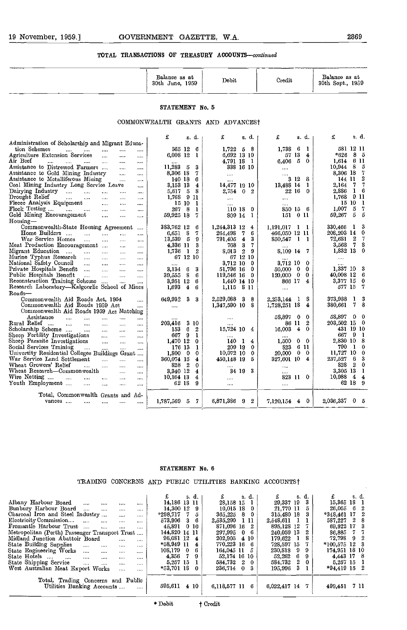|                                                              | Balance as at<br>30th June, 1959  | Debit                   | Credit          | Balance as at<br>30th Sept., 1959 |
|--------------------------------------------------------------|-----------------------------------|-------------------------|-----------------|-----------------------------------|
|                                                              | STATEMENT No. 5                   |                         |                 |                                   |
|                                                              | COMMONWEALTH GRANTS AND ADVANCEST |                         |                 |                                   |
|                                                              | £<br>s d.                         | £<br>s. d.              | £<br>s. d.      | £<br>s. d.                        |
| Administration of Scholarship and Migrant Educa-             |                                   |                         |                 |                                   |
| tion Schemes<br>$\cdots$<br>$\cdots$<br>$\cdots$<br><br>     | 565 12<br>-6                      | 1,722<br>58             | 1.738<br>6<br>1 | 581 12 11                         |
| Agriculture Extension Services<br>$\cdots$<br><br>$\cdots$   | 6,008 12                          | 6,692 13 10             | 13<br>57<br>4   | 85<br>*626                        |
| Air Beef<br>$\cdots$<br><br><br>$\cdots$<br><br>             |                                   | 4,791 18 1              | 5<br>6,406<br>0 | 6 11<br>1.614                     |
| Assistance to Distressed Farmers<br>$\cdots$<br>$\cdots$<br> | 11.2835<br>3                      | 338 16 10               |                 | $10.944$ 8<br>-5                  |
| Assistance to Gold Mining Industry<br>$\cdots$<br>           | 8,306 18                          | $\cdots$                |                 | 8,306 18                          |
| Assistance to Metalliferous Mining<br><br>                   | 140 18<br>6                       | 1.111                   | 3<br>12<br>-8   | 144 11<br>2                       |
| Coal Mining Industry Long Service Leave<br>1.11              | 3,153 13<br>$\overline{4}$        | 14,477 19 10            | 13,488 14       | 2,164 7                           |
| Dairying Industry<br>$\cdots$<br>$\cdots$<br><br><br>        | 5.617<br>8<br>5                   | 2,754<br>0 <sub>2</sub> | 22 16<br>0      | 2,886<br>6<br>1.                  |
| Drought Relief<br>$\cdots$<br>1.11<br><br><br>               | 1,768<br>911                      |                         | $\cdots$        | 9 11<br>1,768                     |
| Flecce Analysis Equipment<br>$\cdots$<br><br>                | 15 10<br>-1                       |                         | $+ + + +$       | 15 10 1                           |
| Flock Testing<br>$\cdots$<br>$\cdots$<br>$\cdots$<br><br>    | - 8<br>267                        | 110 18<br>$^{\circ}$    | 850 15<br>-6    | 1,007<br>5                        |
| Gold Mining Encouragement<br><br><br>                        | 59.925 18                         | 809 14                  | 151<br>011      | 59,267<br>5<br>5                  |

| Flock Testing<br>$\mathbf{r} = \mathbf{r} \cdot \mathbf{r}$<br>$\cdots$             | 267 8<br>1                          | 110 18 0                                | 850 15 6                                | 1,007<br>5 <sub>5</sub><br>7  |
|-------------------------------------------------------------------------------------|-------------------------------------|-----------------------------------------|-----------------------------------------|-------------------------------|
| Gold Mining Encouragement<br>$\cdots$<br>$\cdots$<br>$\cdots$                       | 59,925 18<br>7.                     | 809 14 1                                | $151 \t0 \t11$                          | 59,267<br>-5<br>-5            |
| Housing-                                                                            |                                     |                                         |                                         |                               |
| Commonwealth-State Housing Agreement                                                | 383,762 12<br>6                     | 1,244,313 12 4                          | $1,191,017$ 1 1                         | 330,466 1<br>- 3              |
| Home Builders<br>$\cdots$<br>$\cdots$<br>$\cdots$<br>$\cdots$                       | $6,651$ 8<br>7.                     | 264,498<br>-6<br>7.                     | 466,050 12 11                           | $\mathbf{0}$<br>208,203 14    |
| War Service Homes<br>$\cdots$<br>$\cdots$<br><br>$\cdots$                           | 13,539 5<br>9                       | $\overline{\mathbf{4}}$<br>3<br>791,405 | $850,547$ 1 1                           | 72,681 2<br>-7                |
| Meat Production Encouragement<br>$\cdots$<br>$\cdots$                               | 4,336 11<br>3                       | 3<br>768                                |                                         | 3,568 7<br>8                  |
| Migrant Education<br>$\cdots$<br>$\cdots$<br>$\cdots$<br>$\cdots$                   | 1,736 1<br>2                        | 8,013<br>$\overline{2}$<br>- 9          | 8,109 14 7                              | 1,832 13 0                    |
| Murine Typhus Research<br>$\cdots$<br>$\cdots$<br>                                  | 67 12 10                            | 67 12 10                                |                                         | $\cdots$                      |
| National Safety Council<br><b>Sales Control</b><br>$\cdots$<br>$\cdots$<br>$\cdots$ | $\cdots$                            | 3,712 10 0                              | 3,712 10<br>$\Omega$                    | $\cdots$                      |
| Private Hospitals Benefit<br>$\cdots$<br>                                           | $3,134$ 6<br>3                      | 51,796 16<br>$\mathbf{0}$               | 50,000<br>$\mathbf{0}$<br>0.            | 1,337 10 3                    |
| Public Hospitals Benefit<br>$\sim$<br>$\cdots$<br>$\cdots$                          | 39.555 8<br>-6                      | 119,546 16 0                            | 120,000<br>$\mathbf{0}$<br>$\mathbf{0}$ | 40,008 12<br>- 6              |
| Reconstruction Training Scheme<br>$\cdots$<br>$\cdots$                              | 3,951 12<br>-6                      | 1,440 14 10                             | 866 17 4                                | 3,377 15 0                    |
| Research Laboratory—Kalgoorlic School of Mines                                      | $1,693$ 4<br>-6                     | 1,115 8 11                              |                                         | 577 15<br>-7                  |
| $\text{Roads}$ —                                                                    |                                     |                                         |                                         |                               |
| Commonwealth Aid Roads Act, 1954<br>$\cdots$                                        | 649,932<br>-3<br>3.                 | 2,529,088 3 8                           | $2,253,144$ 1<br>-8                     | 373,988 1<br>-3               |
| Commonwealth Aid Roads 1959 Act<br>                                                 | $\cdots$                            | 1,347,590 10<br>8                       | 1,728,251 18 4                          | 380,661 7<br>8                |
| Commonwealth Aid Roads 1959 Act Matching                                            |                                     |                                         |                                         |                               |
| Assistance<br>$\mathbf{r}$<br>$\cdots$<br>$\cdots$<br>$\cdots$                      |                                     |                                         | 58.897<br>$\mathbf{0}$<br>$^{\circ}$    | 58,897 0 0                    |
| Rural Relief<br><b>County</b> County<br>$\sim$ $\sim$<br><br>$\cdots$<br>           | 203,416 3 10                        | $\cdots$                                | 86 11<br>-2                             | 203,502 15<br>- 0             |
| Scholarship Scheme<br><b>Contractor</b><br>$\cdots$<br>$\cdots$<br>                 | - 6<br>2<br>153                     | 15,724 10<br>-4                         | $\overline{4}$<br>$\mathbf 0$<br>16,003 | 431 19 10                     |
| Sheep Fertility Investigations<br>$\ddotsc$<br>$\cdots$<br>$\cdots$                 | -9<br>667<br>1                      |                                         |                                         | - 9<br>667                    |
| Sheep Parasite Investigations<br>$\ddotsc$<br>$\cdots$<br>$\cdots$                  | 1,470 12<br>0                       | 140<br>4<br>$\mathbf{1}$                | 1,500<br>$0\quad 0$                     | 2,830 10 8                    |
| Social Services Training<br>$\cdots$<br>$\cdots$<br>$\cdots$<br>$\cdots$            | 176 13<br>1                         | 209 19<br>$\bf{0}$                      | 6 11<br>823                             | 790.<br>$\mathbf{1}$<br>0     |
| University Residential Colleges Buildings Grant                                     | $1,800 \quad 0$<br>0                | $10,072$ 10<br>$\bf{0}$                 | 20,000<br>-0<br>$\mathbf{0}$            | 11,727 10<br>-0               |
| War Service Land Scttlement<br>$\cdots$<br>$\cdots$<br>$\cdots$                     | 360,074 15<br>4                     | 450,148 19 5                            | 327,601 10<br>4                         | 237,527 6<br>-3               |
| Wheat Growers' Relief<br>$\cdots$<br>$\cdots$<br>$\cdots$<br>                       | 828<br>$\overline{2}$<br>0.         |                                         | $1 + 1.4$                               | 828<br>$\mathbf{2}$<br>0      |
| Wheat Research-Commonwealth<br>$\cdots$<br>                                         | 3,340 12<br>$\overline{\mathbf{4}}$ | 34 19 3                                 | $\cdots$                                | 3,305 13                      |
| Wire Netting<br><b>Contractor</b><br>$\cdots$<br>$\cdots$<br>$\cdots$<br>$\cdots$   | 10,164 13<br>4                      |                                         | 823 11<br>$\mathbf{0}$                  | 10,988<br>$\overline{4}$<br>4 |
| Youth Employment<br>$\sim$ $\sim$ $\sim$<br>$\cdots$<br>$\cdots$                    | 62 18<br>-9                         |                                         |                                         | 62 18<br>- 9                  |
|                                                                                     |                                     |                                         |                                         |                               |
| Total, Commonwealth Grants and Ad-                                                  |                                     |                                         |                                         |                               |
| vances<br>$\cdots$<br><br><br>                                                      | 1,787,569<br>7.<br>$5^{\circ}$      | 6,871,386<br>2<br>9                     | $\mathbf{0}$<br>7,120,154<br>4.         | 2,036,337<br>0 <sub>5</sub>   |
|                                                                                     |                                     |                                         |                                         |                               |

#### STATEMENT No. 6

TRADING CONCERNS AND PUBLIC UTILITIES BANKING ACCOUNTSt

| Albany Harbour Board<br>$\cdots$                                    |               |          | s d.           | £              | s. d.          | £            |    | s.d.       |                 | s. d. |  |
|---------------------------------------------------------------------|---------------|----------|----------------|----------------|----------------|--------------|----|------------|-----------------|-------|--|
| $1 + 1 + 1$<br>                                                     | 14,186 13 11  |          |                | 28,158 15      |                | 29,337 19    |    | 3          | 15,365 18 1     |       |  |
| Bunbury Harbour Board<br>$\cdots$<br><br>                           | 14.300 12     |          | -9             | $10.015$ 18    | $\mathbf{0}$   | 21,770 11 5  |    |            | $26.055$ 6 2    |       |  |
| Charcoal Iron and Steel Industry<br><br>                            | $*298.717$ 7  |          | -5             | 365,225        | 80             | 315,480 18   |    | 3          | $*348.461$ 17 2 |       |  |
| $\cdots$<br><br>                                                    | 573.906       | 3.       | -6             | 2.535.290 1 11 |                | 2,548,611    |    |            | 587,227 2 8     |       |  |
| Fremantle Harbour Trust<br>$\cdots$<br><br>$\cdots$                 | 45.891        |          | 010            | 871.096 16     | - 2            | 895,128 12   |    | 7.         | 69,922 17 3     |       |  |
| Metropolitan (Perth) Passenger Transport Trust                      | 144.820 14 11 |          |                | 297.995        | 0 <sub>6</sub> | 240,059 13   |    | 2.         | 86.885          | -7-7  |  |
| Midland Junction Abattoir Board<br><br>                             | 96.081 12     |          | $\overline{4}$ | 202.905        | 4 10           | 179.622      | -1 | 8          | 72.798 9 2      |       |  |
| State Building Supplies<br>$\sim$ $\sim$ $\sim$<br>$\cdots$<br><br> | *58.949 11    |          | 4              | 770,223 16     | - 6            | 728,597 15   |    |            | $*100,575$ 12 3 |       |  |
| State Engineering Works<br>$\cdots$<br>$\cdots$<br><br>             | 108.179       | $\Omega$ | 6.             | 164,045 11     | - 5            | 230.818      | -9 | -9         | 174,951 18 10   |       |  |
| State Hotels<br>$\cdots$<br><br>1.1.1<br>                           | 4.356         | 7.       | -9.            | 52,174 16 10   |                | 52.262       | 6  | 9          | 4.443 17 8      |       |  |
| State Shipping Service<br>$\ddotsc$<br>$\mathbf{r}$<br><br>         | 5.257 15      |          |                | 584,732 2      | $\mathbf{0}$   | 584,732      | 2  | $^{\circ}$ | 5,257 15 1      |       |  |
| West Australian Meat Export Works<br><br>                           | $*53.701$ 18  |          | 0.             | 236.714 0      | -3             | 195,996      | 3  |            | $*94.419$ 15 2  |       |  |
|                                                                     |               |          |                |                |                |              |    |            |                 |       |  |
| Total, Trading Concerns and Public                                  |               |          |                |                |                |              |    |            |                 |       |  |
| Utilities Banking Accounts<br>$\cdots$                              | 595.611       |          | 4 10           | 6,118,577 11   | - 6            | 6,022,417 14 |    |            | 499.451         | -7-11 |  |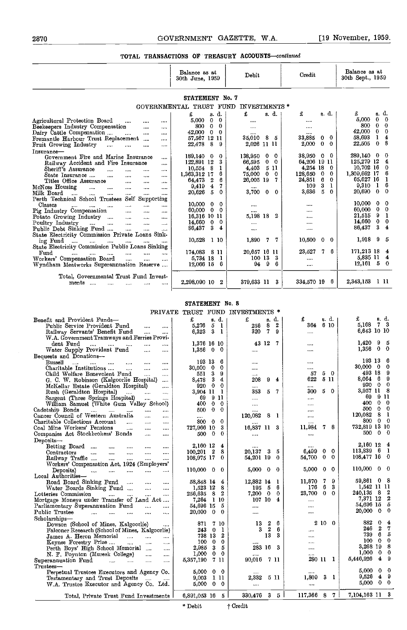|                                                                                                    | Balance as at<br>30th June, 1959    | Debit                             | Credit                           | Balance as at<br>30th Sept., 1959 |
|----------------------------------------------------------------------------------------------------|-------------------------------------|-----------------------------------|----------------------------------|-----------------------------------|
|                                                                                                    | STATEMENT No. 7                     |                                   |                                  |                                   |
| GOVERNMENTAL                                                                                       | TRUST                               | INVESTMENTS <sup>*</sup><br>FUND  |                                  |                                   |
|                                                                                                    | d.<br>£<br>8.                       | £<br>s. d.                        | s. d.<br>£                       | g. d.<br>£                        |
| Agricultural Protection Board<br>$\cdots$<br><br>                                                  | $\bf{0}$<br>5.000<br>$\mathbf 0$    |                                   | 1.11                             | 5.000<br>-0<br>$\Omega$           |
| Beekeepers Industry Compensation<br>$\cdots$<br>$\cdots$                                           | $\mathbf{0}$<br>800<br>$\mathbf{0}$ | $\cdots$                          |                                  | 300<br>$\mathbf{0}$<br>$\Omega$   |
| Dairy Cattle Compensation<br>$\ddotsc$<br>                                                         | 42,000<br>$\mathbf{0}$<br>$\Omega$  | $\cdots$                          | 1.111                            | 42.000<br>0<br>$\Omega$           |
| Fremantle Harbour Trust Replacement<br>$\mathbf{r}$<br>$\cdots$                                    | 57,567 12<br>11                     | 35.010<br>8<br>-5                 | 33,885<br>$\Omega$<br>0          | 58.693<br>4<br>1                  |
| Fruit Growing Industry<br>$\sim 100$ and $\sim 100$<br>$\cdots$<br>$\ddotsc$<br>1.11               | 8<br>22,478<br>9                    | 2.026 11 11                       | 2,000<br>$\Omega$<br>$\Omega$    | 8<br>$\Omega$<br>22,505           |
| Insurance-                                                                                         |                                     |                                   |                                  |                                   |
| Government Fire and Marine Insurance<br>$\cdots$                                                   | 189,140<br>- 0<br>0                 | 138,950<br>0<br>$\Omega$          | 38,950<br>$\bf{0}$<br>0          | 289,140 0<br>-0                   |
| Railway Accident and Fire Insurance<br>$\cdots$                                                    | 122,891 12<br>3                     | 66.595<br>0<br>$\Omega$           | 64,206 19 11                     | 125.279 12<br>4                   |
| Sheriff's Assurance<br>$\cdots$<br>$\cdots$<br>$\cdots$<br>$\cdots$                                | 10,554 8<br>1                       | 511<br>4.403                      | 4,254 18<br>$\theta$             | $10,702$ 16<br>0                  |
| State Insurance<br>$\cdots$<br><br>$\cdots$<br>                                                    | 6<br>1,363,312 17                   | 75,000<br>0<br>$\theta$           | -0<br>$\theta$<br>128,650        | 6<br>1,309,662 17                 |
| Titles Office Assurance<br>$\cdots$<br>$\cdots$<br>                                                | 6<br>2<br>64,473                    | 26,005 19<br>7.                   | 24,851<br>6<br>$\bf{0}$          | 65,627 16                         |
| McNess Housing<br>$\cdots$<br>$\cdots$<br>$\cdots$<br>$\cdots$<br>$\cdots$                         | 4<br>7<br>0.419                     |                                   | 3<br>1<br>109                    | $9.310 \quad 1$<br>6              |
| Milk Board<br>$\cdots$<br>$\cdots$<br>$\cdots$<br>$\cdots$<br>$\cdots$<br>                         | 5<br>$\theta$<br>20,626             | 3,700<br>$\mathbf{0}$<br>$\Omega$ | 5<br>3,636<br>$\mathbf{0}$       | 20,690<br>$\bf{0}$<br>-0          |
| Self Supporting<br>Perth Technical School Trustees                                                 |                                     |                                   |                                  |                                   |
| Classes<br>$\cdots$<br><br>$\cdots$                                                                | 10,000<br>$\bf{0}$<br>$\Omega$      | $\sim$ $\sim$ $\sim$              |                                  | 10.000<br>$\bf{0}$<br>-0          |
| Pig Industry Compensation<br>$\ddotsc$<br>$\overline{a}$<br>$\cdots$                               | 60,000<br>$\mathbf{0}$<br>$\Omega$  |                                   |                                  | 0<br>60.000<br>$\Omega$           |
| Potato Growing Industry<br>$\ddotsc$<br>$\sim 10^{-1}$<br>$\cdots$                                 | 16,316 10 11                        | 5.198 18<br>2                     |                                  | 9<br>21,515<br>-1                 |
| Poultry Industry<br>$\ddotsc$<br>$\mathbf{r}$<br>$\sim 100$ and $\sim 100$<br>$\cdots$<br>$\cdots$ | $14,660$ 0<br>0                     | $\cdots$                          | $\cdots$                         | 14,660<br>0<br>$\bf{0}$           |
| Public Debt Sinking Fund<br>$\cdots$<br>$\cdots$<br>$\cdots$                                       | 86,437<br>3<br>4                    | $\cdots$                          |                                  | 3<br>86,437<br>4                  |
| State Electricity Commission Private Loans Sink-                                                   |                                     |                                   |                                  |                                   |
| ing Fund<br>$\cdots$<br><br>$\cdots$<br><br>                                                       | 10,528<br>1 10                      | 1,890<br>7<br>7                   | 10,500<br>$\boldsymbol{0}$<br>0. | 1,918<br>- 9<br>-5                |
| State Electricity Commission Public Loans Sinking                                                  |                                     |                                   |                                  |                                   |
| Fund<br>$\cdots$<br>$\cdots$<br>$\cdots$<br>$\cdots$<br><br>$\cdots$                               | 174,083 8 11                        | 20.657 16 11                      | 23,527<br>6<br>7.                | 171,213 18<br>4                   |
| Workers' Compensation Board<br>$\cdots$<br>$\cdots$<br>$\cdots$                                    | 5,734 1S<br>-1                      | 100 13<br>3                       | $\cdots$                         | 5.835 11<br>4                     |
| Wyndham Meatworks Superannuation Reserve                                                           | 12,066 15<br>-6                     | 9<br>6<br>94                      |                                  | $12,161$ 5<br>0                   |
|                                                                                                    |                                     |                                   |                                  |                                   |
| Total, Governmental Trust Fund Invest-                                                             |                                     |                                   |                                  |                                   |
| ments<br>$\cdots$                                                                                  | 2,298,090 10<br>-2                  | 379,633 11<br>3                   | 334,570 19<br>-6                 | 2,343,153<br>-111                 |

#### STATEMENT No. 8

#### PRIVATE TRUST FUND INVESTMENTS \*

| ********                                                                                               | TUODI TOUD        |                         | THE ATTO THEFT AT ATT        |                                   |                                       |
|--------------------------------------------------------------------------------------------------------|-------------------|-------------------------|------------------------------|-----------------------------------|---------------------------------------|
| Benefit and Provident Funds-                                                                           | £                 | s. d.                   | £<br>s. d.                   | £<br>s. d.                        | £<br>s. d.                            |
| Public Service Provident Fund<br>$\cdots$<br>$\cdots$                                                  | 5.276             | 5<br>-1                 | $\boldsymbol{2}$<br>8<br>256 | 6 10<br>364.                      | 7 3<br>5,168                          |
| Railway Servants' Benefit Fund<br><br>$\cdots$                                                         | 6,323             | 3<br>-1                 | 320<br>7.<br>9               | $\cdots$                          | 6,643 10 10                           |
| W.A. Government Tramways and Ferries Provi-                                                            |                   |                         |                              |                                   |                                       |
| dent Fund<br>$\overline{a}$<br><b>Service</b><br>$\cdots$<br>$\overline{a}$                            |                   | 1,376 16 10             | 43 12<br>-7                  | 1.111                             | 9<br>1.420<br>5                       |
| Water Supply Provident Fund<br>$\cdots$<br>$\cdots$                                                    | $1,356$ 0         | -0                      | $\cdots$                     | $\cdots$                          | 1.356<br>$\bf{0}$<br>$\mathbf 0$      |
| Bequests and Donations-                                                                                |                   |                         |                              |                                   |                                       |
| Bussell<br>$\cdots$<br>and and an in<br>$\cdots$<br>$\cdots$                                           | 193 13            | 6                       | $\cdots$                     | $\cdots$                          | 193 13<br>6                           |
| Charitable Institutions<br>$\ldots$<br>$\cdots$<br>$\cdots$                                            | 30.000            | 0<br>$\bf{0}$           |                              |                                   | 30.000<br>0<br>0                      |
| Child Welfare Benevolent Fund<br>$\cdots$<br>$\cdots$                                                  | 551               | -3<br>9                 |                              | 50<br>57                          | 493 18<br>9                           |
| G. C. W. Robinson (Kalgoorlie Hospital)<br>$\cdots$                                                    | 8,478             | -3<br>4                 | 208<br>9<br>4                | 622<br>5 11                       | 8.064<br>6<br>9                       |
| McKellar Estate (Geraldton Hospital)<br>$\cdots$                                                       | 920               | -0<br>$\theta$          |                              | $\cdots$                          | 920<br>$\Omega$<br>$\bf{0}$           |
| Rush (Geraldton Hospital)<br>$\cdots$<br>$\cdots$                                                      | 3,904 11          | -1                      | 353<br>7<br>5.               | 5 0<br>300                        | 3,957 11<br>8                         |
| Sargent (Three Springs Hospital)                                                                       | 69.               | 911                     | $\cdots$                     |                                   | 69<br>9 11                            |
| 1000<br>$\cdots$<br>William Samuel (White Gum Valley School)                                           | 400.              | $\bf{0}$<br>$\Omega$    |                              | $\cdots$                          | $\mathbf 0$<br>$\Omega$<br>400        |
| Cadetship Bonds                                                                                        | 500               | $\bf{0}$<br>$\Omega$    | $\cdots$                     |                                   | $\Omega$<br>500<br>$\Omega$           |
| $\cdots$<br><b>Service Construction</b><br>$\cdots$<br>Cancer Council of Western Australia<br>$\cdots$ |                   |                         | 11.14<br>120,082<br>8<br>- 1 | $\cdots$                          | 8<br>$\mathbf{I}$<br>120.082          |
| $\cdots$<br>Charitable Collections Account<br>$\cdots$<br>$\cdots$<br>$\cdots$                         | $\cdots$<br>800   | $\Omega$<br>$\Omega$    |                              |                                   | 800<br>$\bf{0}$<br>$\Omega$           |
| Coal Mine Workers' Pensions                                                                            | 727,966 10        | 3                       | 16,837 11 3                  | 78<br>11,984                      | 732,819 13 10                         |
| $\sim 100$ and $\sim 100$<br>$\cdots$<br>$\cdots$<br>Companies Act Stockbrokers' Bonds                 | 500               | - 0<br>$\theta$         |                              |                                   | $\mathbf{0}$<br>0<br>500              |
| $\cdots$<br>$\cdots$                                                                                   |                   |                         |                              |                                   |                                       |
| Deposits-                                                                                              |                   | 4                       |                              |                                   | 2,160 12<br>4                         |
| Betting Board<br>$\cdots$<br>$\cdots$<br>$\cdots$<br>                                                  | 2,160 12          | $\mathbf{2}$<br>8       | 3<br>20,137<br>5             | 6,499<br>$0\quad 0$               | 113.839<br>- 6<br>1                   |
| Contractors<br>$\ddotsc$<br>$\cdots$<br>$\cdots$<br>$\cdots$<br>$\cdots$                               | 100.201           | $\theta$                | 54,201 19<br>$\theta$        | 54,700<br>$\mathbf 0$<br>$\Omega$ | 108,477 16<br>0                       |
| Railway Traffic<br><b>Save Common</b><br>$\cdots$<br>$\cdots$<br>$\cdots$                              | 108,975 17        |                         |                              |                                   |                                       |
| Workers' Compensation Act, 1924 (Employers'                                                            |                   |                         |                              | $0\quad 0$                        | 110,000 0<br>$\Omega$                 |
| المستحدث المتداد<br>Deposits)<br><b>Service</b><br><b>Service</b><br>$\cdots$                          | $110,000 \quad 0$ | $\Omega$                | 5,000 0<br>-0                | 5,000                             |                                       |
| Local Authorities-                                                                                     |                   |                         |                              |                                   | 59.861 0<br>-8                        |
| Road Board Sinking Fund<br><br>$\cdots$                                                                | 58.848 14         | 4                       | 12,882 14<br>-1              | 11,870<br>9                       |                                       |
| Water Boards Sinking Fund<br>$\cdots$<br>$\cdots$                                                      | 1,523 12          | 8                       | - 5<br>- 6<br>195.           | 6<br>3<br>176                     | 1,542 11 11<br>2                      |
| Lotteries Commission<br>$\cdots$<br>$\cdots$<br>$\cdots$<br>$\cdots$                                   | 256.635           | - 8<br>- 2              | 7,200 0<br>- 0               | 23,700<br>$^{\rm o}$<br>$\Omega$  | 240.135<br>- 8                        |
| Mortgage Moneys under Transfer of Land Act                                                             |                   | 7.264 1 10              | 107 10 4                     | $\cdots$                          | 2<br>7.371 12                         |
| Parliamentary Superannuation Fund<br>$\ddotsc$<br>$\cdots$                                             | 54.696 15         | 5                       | $\cdots$                     | $\cdots$                          | 5<br>54,696 15                        |
| Public Trustee<br>$\sim$ $\sim$ $\sim$<br>$\cdots$<br>$\cdots$<br>$\cdots$<br>$\cdots$                 | 20,000            | $\bf{0}$<br>$\mathbf 0$ | $\cdots$                     |                                   | 20,000<br>- 0<br>0                    |
| Scholarships-                                                                                          |                   |                         |                              |                                   |                                       |
| Dowson (School of Mines, Kalgoorlie)<br>1.111                                                          | 871               | 7 10                    | $\boldsymbol{2}$<br>6<br>13  | $2\,10\,$ 0                       | 882<br>$\Omega$<br>4                  |
| Falconer Research (School of Mines, Kalgoorlie)                                                        | 243               | $\Omega$<br>-1          | $\mathbf{2}$<br>6<br>3       | $\cdots$                          | $\boldsymbol{2}$<br>7<br>246          |
| James A. Heron Memorial<br>$\mathbf{r}$<br><b>Service</b><br>$\cdots$                                  |                   | 738 13<br>2             | 13<br>3                      | $\cdots$                          | 5<br>739<br>6                         |
| Keynes Forestry Prize<br>$\sim 10^{-1}$<br>$\sim 100$<br>$\ddotsc$                                     | 100               | $\bf{0}$<br>$\Omega$    |                              | $\cdots$                          | 100<br>- 0<br>$\Omega$                |
| Perth Boys' High School Memorial<br>$\cdots$                                                           | 2.985             | 3<br>Б                  | 283 16<br>-3                 | $\cdots$                          | 3,268 19<br>8                         |
| N. F. Poynton (Muresk College)<br>$\cdots$<br>$\cdots$                                                 | 1,000             | 0<br>$\Omega$           |                              |                                   | 1,000<br>- 0<br>$\theta$              |
| Superannuation Fund<br>and the contract of the contract of<br>$\cdots$<br>$\cdots$                     | 5,357,190         | 7 11                    | 90,016<br>7 11               | 280 11 1                          | 5,446,926<br>4<br>9                   |
| Thus <sub>tes</sub>                                                                                    |                   |                         |                              |                                   |                                       |
| Perpetual Trustees Executors and Agency Co.                                                            | 5,000             | $0\quad 0$              | $\cdots$                     |                                   | 5.000<br>$\boldsymbol{0}$<br>$\Omega$ |
| Testamentary and Trust Deposits<br><b>Contract Contract</b>                                            |                   | 9.003 1 11              | 2,332<br>5 11                | 1,809<br>3 1                      | 9<br>9,526<br>$\overline{\mathbf{4}}$ |
| W.A. Trustee Executor and Agency Co. Ltd.                                                              | $5,000 \quad 0$   | $\Omega$                | $\cdots$                     | $\cdots$                          | $\mathbf{0}$<br>5,000<br>- 0          |
|                                                                                                        |                   |                         |                              |                                   |                                       |
| Total, Private Trust Fund Investments                                                                  | 6,891,053 16      | 5 <sup>1</sup>          | 330,476 3 5                  | 117,366 8 7                       | 7,104,163 11 3                        |
|                                                                                                        |                   |                         |                              |                                   |                                       |
|                                                                                                        | * Debit           |                         | + Credit                     |                                   |                                       |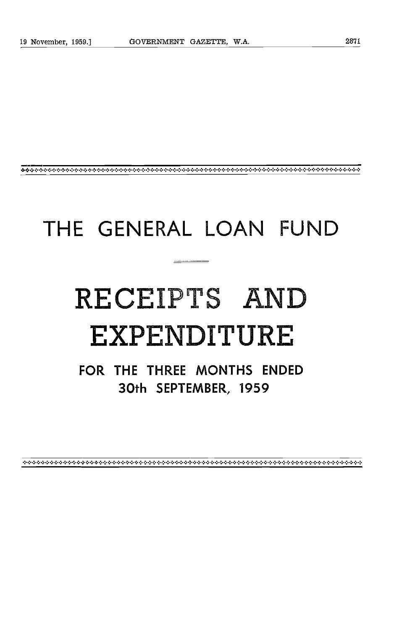# THE GENERAL LOAN FUND

# RECEIPTS AND EXPENDITURE

FOR THE THREE MONTHS ENDED 30th SEPTEMBER, 1959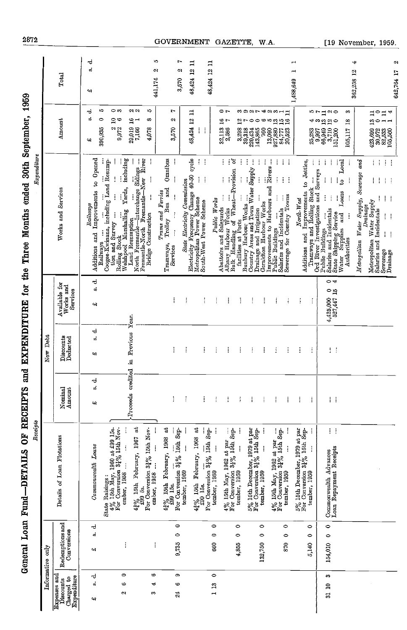| 10<br>$\approx$ $\approx$<br>ı0<br>⇔ ⇔<br>r<br>$\circ$ r<br>ರ<br>892742311<br>≓<br>ים מו<br>m<br>$\sim$<br>$\begin{array}{ccc} 423,699 & 13 & 11 \\ 30.972 & 0 & 0 \end{array}$<br>$\mathbf{u}$<br>4<br>⊐<br>o,<br>$\circ$<br>48,424 12<br>Amount<br>$\mathsf{a}$<br>œ<br>¢<br>29,019 16<br>7.166 1<br>ø<br>32,113 16<br>2,586 7<br>16<br>$\frac{2}{7}$<br>581<br>105,117 18<br>$13\,$<br>∾<br>අංශ<br>$\circ$<br>$-1$<br>Z<br>3,298<br>390,935<br>7,166<br>9,972<br>4,078<br>3,570<br>2,586<br>ł<br>39,318<br>220,434<br>143,865<br>13,090<br>027,777<br>20,523<br>20,523<br>$66,949$<br>$3,710$<br>$3,710$<br>$151,200$<br>760<br>25,283<br>0,997<br>30,972<br>82,533<br>105,560<br>41<br>Additions and Improvements to Opened<br>Omnibus<br>including<br>River<br>ĵ<br>State Electricity Commission<br>ity Frequency Change 40-50 cycle<br>್ರ<br>rear ways<br>Coogee-Kwinana, including Land Ressump-<br>j<br>North Fremantie-Interchange Sidings<br>ţ<br>ł<br>ŧ<br>ŧ<br>İ<br>Improvements to Harbours and Rivers<br>Public Buildings<br>÷<br>J.<br>ĵ<br>Ĩ<br>ŧ<br>Additions and Improvements to Jetties,<br>ŧ<br>÷<br>Ì<br>ŧ<br>Local<br>j<br>Metropolitan Water Supply, Sewerage and<br>Î<br>÷<br>÷<br>İ<br>Abattoirs and Saleyards<br>Mhany Harbour Works<br>Bulk Harbour Works<br>Bulk Harbour Works<br>Bunbury Harbour Works<br>Comtry Areas and Town Water Supply<br>Comtry Areas and Town Water Supply<br>Ord River Investigations and Surveys<br>Fremantle-North Fremantle-New<br>ļ<br>Ì<br>ŧ<br>ł<br>İ<br>i<br>ŧ<br>Ì<br>į<br>j<br>j<br>2<br>į<br>Ť<br>ŧ<br>÷<br>Yards,<br>Bus and<br>Tramways and Rolling Stock<br>Works and Services<br>Trams and Ferries<br>Loans<br>Sewerage for Country Towns<br>İ<br>İ<br>$\vdots$<br>İ<br>ł<br>ŧ.<br>Metropolitan Power Scheme<br>South-West Power Scheme<br>ŧ<br>Public Works<br>North-West<br>Metropolitan Water Supply<br>Geraldton Harbour Works<br>Railways<br>Drainage<br>Salaries and Incidentals<br>Salaries and Incidentals<br>Welshpool Marshalling<br>Drainage and Irrigation<br>Salaries and Incidentals<br>Sewerage<br>State Shipping Service<br>tion and Survey<br>$\vdots$<br>and<br><b>Bridge Construction</b><br>ļ<br>ł<br>Electricity Frequency<br>Tramways, Trolley<br>Land Resumption<br>Water Supplies<br>Public Buildings<br>$\vdots$<br>j<br>ŧ<br><b>Rolling Stock</b><br>Authorities<br>Railways<br>Services<br>Drainage<br>ಕ<br>$\Rightarrow$<br>Available for<br>Works and<br>œ<br>Services<br>$4,425,000$ 0<br>527,447 15<br>ŧ<br>ŧ<br>ŧ<br>Ť<br>ŧ<br>ŧ<br>ŧ<br>ŧ<br>Î<br>i<br>ŧ<br>÷<br>¢۹<br>credited in Previous Year.<br>ಕ<br>Discounts<br>Deducted<br>σÎ<br>ŧ<br>I<br>$\vdots$<br>ł<br>ŧ<br>ł<br>ł<br>ĵ<br>ŧ<br>İ<br>ŧ<br>ĵ.<br>÷<br>41<br>ಕ<br>ø<br>Amount<br>Nominal<br>Proceeds<br>I<br>ĵ<br>ŧ<br>ŧ<br>÷<br>Î<br>Ĩ<br>ĵ<br>ŧ<br>H<br>Ī<br>÷<br>٩R<br>State Raisings :<br>$4\%$ L6th May, 1960 at £99 15s.<br>For Conversion $34\%$ 15th Nov-<br>$4\frac{2}{4}$ % 15th February, 1967 at $\frac{49}{499}$ 5s.<br>For Conversion 32% 15th Nov-<br>For Conversion $3\frac{1}{6}\%$ 15th September, 1959<br>$4\frac{2}{4}$ % 15th February, 1968 at $\frac{49}{499}$ 15s.<br>$4\frac{3}{4}\%$ 15th February, 1968 at $\frac{43}{439}$ 15s.<br>P)<br>$4\%$ 15th May, 1962 at par<br>For Conversion $3\frac{1}{6}\%$ 15th September, 1959<br>$5\%$ 15th December, 1979 at par<br>For Conversion $3\frac{1}{4}\%$ 15th September, 1959<br>tember, 1959<br><br>$4\%$ 15th May, 1962 at par<br>For Conversion $3\frac{1}{4}\%$ 15th September, 1959<br>$5\%$ 15th December, 1979 at par<br>For Conversion $3\frac{1}{4}\%$ 15th September, 1959<br>Details of Loan Flotations<br>Commonwealth Loans<br>Ì<br>İ<br>Commonwealth Advances<br>Loan Repayment Receipts<br>ember, 1958<br>ember, 1958<br>Redemptions and<br>$\circ$<br>$\circ$<br>$\circ$<br>$\circ$<br>$\bullet$<br>$\circ$<br>$\circ$<br>ರ<br>Conversions<br>ŵ<br>$\circ$<br>0<br>$\circ$<br>$\circ$<br>$\circ$<br>$\circ$<br>$\circ$<br>0,735<br>870<br>154,010<br>132,750<br>880<br>Î<br>į<br>4,855<br>5,140<br>٩R<br>0<br>G<br>0<br>ౚ<br>Expenses and<br>Discourts<br>Charged to<br>ರ<br>c<br>Expenditure<br>ä<br>అ<br>113<br>4<br>∾<br>31 10<br>$\frac{24}{3}$<br>ø<br>S<br>47 | Informative only | Receipts | New Debt | Expenditure |                                         |
|----------------------------------------------------------------------------------------------------------------------------------------------------------------------------------------------------------------------------------------------------------------------------------------------------------------------------------------------------------------------------------------------------------------------------------------------------------------------------------------------------------------------------------------------------------------------------------------------------------------------------------------------------------------------------------------------------------------------------------------------------------------------------------------------------------------------------------------------------------------------------------------------------------------------------------------------------------------------------------------------------------------------------------------------------------------------------------------------------------------------------------------------------------------------------------------------------------------------------------------------------------------------------------------------------------------------------------------------------------------------------------------------------------------------------------------------------------------------------------------------------------------------------------------------------------------------------------------------------------------------------------------------------------------------------------------------------------------------------------------------------------------------------------------------------------------------------------------------------------------------------------------------------------------------------------------------------------------------------------------------------------------------------------------------------------------------------------------------------------------------------------------------------------------------------------------------------------------------------------------------------------------------------------------------------------------------------------------------------------------------------------------------------------------------------------------------------------------------------------------------------------------------------------------------------------------------------------------------------------------------------------------------------------------------------------------------------------------------------------------------------------------------------------------------------------------------------------------------------------------------------------------------------------------------------------------------------------------------------------------------------------------------------------------------------------------------------------------------------------------------------------------------------------------------------------------------------------------------------------------------------------------------------------------------------------------------------------------------------------------------------------------------------------------------------------------------------------------------------------------------------------------------------------------------------------------------------------------------------------------------------------------------------------------------------------------------------------------------------------------------------------------------------------------------------------------------------------------------------------------------------------------------------------------------------------------------------------------------------------------------------------------------------------------------------------------------------------------------------------------------------------------------------------------------------------------------------------------------------|------------------|----------|----------|-------------|-----------------------------------------|
|                                                                                                                                                                                                                                                                                                                                                                                                                                                                                                                                                                                                                                                                                                                                                                                                                                                                                                                                                                                                                                                                                                                                                                                                                                                                                                                                                                                                                                                                                                                                                                                                                                                                                                                                                                                                                                                                                                                                                                                                                                                                                                                                                                                                                                                                                                                                                                                                                                                                                                                                                                                                                                                                                                                                                                                                                                                                                                                                                                                                                                                                                                                                                                                                                                                                                                                                                                                                                                                                                                                                                                                                                                                                                                                                                                                                                                                                                                                                                                                                                                                                                                                                                                                                                            |                  |          |          |             | Total                                   |
|                                                                                                                                                                                                                                                                                                                                                                                                                                                                                                                                                                                                                                                                                                                                                                                                                                                                                                                                                                                                                                                                                                                                                                                                                                                                                                                                                                                                                                                                                                                                                                                                                                                                                                                                                                                                                                                                                                                                                                                                                                                                                                                                                                                                                                                                                                                                                                                                                                                                                                                                                                                                                                                                                                                                                                                                                                                                                                                                                                                                                                                                                                                                                                                                                                                                                                                                                                                                                                                                                                                                                                                                                                                                                                                                                                                                                                                                                                                                                                                                                                                                                                                                                                                                                            |                  |          |          |             | ರ<br>ø.<br>¢۹                           |
|                                                                                                                                                                                                                                                                                                                                                                                                                                                                                                                                                                                                                                                                                                                                                                                                                                                                                                                                                                                                                                                                                                                                                                                                                                                                                                                                                                                                                                                                                                                                                                                                                                                                                                                                                                                                                                                                                                                                                                                                                                                                                                                                                                                                                                                                                                                                                                                                                                                                                                                                                                                                                                                                                                                                                                                                                                                                                                                                                                                                                                                                                                                                                                                                                                                                                                                                                                                                                                                                                                                                                                                                                                                                                                                                                                                                                                                                                                                                                                                                                                                                                                                                                                                                                            |                  |          |          |             |                                         |
|                                                                                                                                                                                                                                                                                                                                                                                                                                                                                                                                                                                                                                                                                                                                                                                                                                                                                                                                                                                                                                                                                                                                                                                                                                                                                                                                                                                                                                                                                                                                                                                                                                                                                                                                                                                                                                                                                                                                                                                                                                                                                                                                                                                                                                                                                                                                                                                                                                                                                                                                                                                                                                                                                                                                                                                                                                                                                                                                                                                                                                                                                                                                                                                                                                                                                                                                                                                                                                                                                                                                                                                                                                                                                                                                                                                                                                                                                                                                                                                                                                                                                                                                                                                                                            |                  |          |          |             |                                         |
|                                                                                                                                                                                                                                                                                                                                                                                                                                                                                                                                                                                                                                                                                                                                                                                                                                                                                                                                                                                                                                                                                                                                                                                                                                                                                                                                                                                                                                                                                                                                                                                                                                                                                                                                                                                                                                                                                                                                                                                                                                                                                                                                                                                                                                                                                                                                                                                                                                                                                                                                                                                                                                                                                                                                                                                                                                                                                                                                                                                                                                                                                                                                                                                                                                                                                                                                                                                                                                                                                                                                                                                                                                                                                                                                                                                                                                                                                                                                                                                                                                                                                                                                                                                                                            |                  |          |          |             | ıņ,<br>$\sim$<br>441,174                |
|                                                                                                                                                                                                                                                                                                                                                                                                                                                                                                                                                                                                                                                                                                                                                                                                                                                                                                                                                                                                                                                                                                                                                                                                                                                                                                                                                                                                                                                                                                                                                                                                                                                                                                                                                                                                                                                                                                                                                                                                                                                                                                                                                                                                                                                                                                                                                                                                                                                                                                                                                                                                                                                                                                                                                                                                                                                                                                                                                                                                                                                                                                                                                                                                                                                                                                                                                                                                                                                                                                                                                                                                                                                                                                                                                                                                                                                                                                                                                                                                                                                                                                                                                                                                                            |                  |          |          |             |                                         |
|                                                                                                                                                                                                                                                                                                                                                                                                                                                                                                                                                                                                                                                                                                                                                                                                                                                                                                                                                                                                                                                                                                                                                                                                                                                                                                                                                                                                                                                                                                                                                                                                                                                                                                                                                                                                                                                                                                                                                                                                                                                                                                                                                                                                                                                                                                                                                                                                                                                                                                                                                                                                                                                                                                                                                                                                                                                                                                                                                                                                                                                                                                                                                                                                                                                                                                                                                                                                                                                                                                                                                                                                                                                                                                                                                                                                                                                                                                                                                                                                                                                                                                                                                                                                                            |                  |          |          |             | r<br>Z<br>3,570                         |
|                                                                                                                                                                                                                                                                                                                                                                                                                                                                                                                                                                                                                                                                                                                                                                                                                                                                                                                                                                                                                                                                                                                                                                                                                                                                                                                                                                                                                                                                                                                                                                                                                                                                                                                                                                                                                                                                                                                                                                                                                                                                                                                                                                                                                                                                                                                                                                                                                                                                                                                                                                                                                                                                                                                                                                                                                                                                                                                                                                                                                                                                                                                                                                                                                                                                                                                                                                                                                                                                                                                                                                                                                                                                                                                                                                                                                                                                                                                                                                                                                                                                                                                                                                                                                            |                  |          |          |             | $\Xi$<br>48,424 12                      |
|                                                                                                                                                                                                                                                                                                                                                                                                                                                                                                                                                                                                                                                                                                                                                                                                                                                                                                                                                                                                                                                                                                                                                                                                                                                                                                                                                                                                                                                                                                                                                                                                                                                                                                                                                                                                                                                                                                                                                                                                                                                                                                                                                                                                                                                                                                                                                                                                                                                                                                                                                                                                                                                                                                                                                                                                                                                                                                                                                                                                                                                                                                                                                                                                                                                                                                                                                                                                                                                                                                                                                                                                                                                                                                                                                                                                                                                                                                                                                                                                                                                                                                                                                                                                                            |                  |          |          |             | 48,424 12 11                            |
|                                                                                                                                                                                                                                                                                                                                                                                                                                                                                                                                                                                                                                                                                                                                                                                                                                                                                                                                                                                                                                                                                                                                                                                                                                                                                                                                                                                                                                                                                                                                                                                                                                                                                                                                                                                                                                                                                                                                                                                                                                                                                                                                                                                                                                                                                                                                                                                                                                                                                                                                                                                                                                                                                                                                                                                                                                                                                                                                                                                                                                                                                                                                                                                                                                                                                                                                                                                                                                                                                                                                                                                                                                                                                                                                                                                                                                                                                                                                                                                                                                                                                                                                                                                                                            |                  |          |          |             |                                         |
|                                                                                                                                                                                                                                                                                                                                                                                                                                                                                                                                                                                                                                                                                                                                                                                                                                                                                                                                                                                                                                                                                                                                                                                                                                                                                                                                                                                                                                                                                                                                                                                                                                                                                                                                                                                                                                                                                                                                                                                                                                                                                                                                                                                                                                                                                                                                                                                                                                                                                                                                                                                                                                                                                                                                                                                                                                                                                                                                                                                                                                                                                                                                                                                                                                                                                                                                                                                                                                                                                                                                                                                                                                                                                                                                                                                                                                                                                                                                                                                                                                                                                                                                                                                                                            |                  |          |          |             |                                         |
|                                                                                                                                                                                                                                                                                                                                                                                                                                                                                                                                                                                                                                                                                                                                                                                                                                                                                                                                                                                                                                                                                                                                                                                                                                                                                                                                                                                                                                                                                                                                                                                                                                                                                                                                                                                                                                                                                                                                                                                                                                                                                                                                                                                                                                                                                                                                                                                                                                                                                                                                                                                                                                                                                                                                                                                                                                                                                                                                                                                                                                                                                                                                                                                                                                                                                                                                                                                                                                                                                                                                                                                                                                                                                                                                                                                                                                                                                                                                                                                                                                                                                                                                                                                                                            |                  |          |          |             |                                         |
|                                                                                                                                                                                                                                                                                                                                                                                                                                                                                                                                                                                                                                                                                                                                                                                                                                                                                                                                                                                                                                                                                                                                                                                                                                                                                                                                                                                                                                                                                                                                                                                                                                                                                                                                                                                                                                                                                                                                                                                                                                                                                                                                                                                                                                                                                                                                                                                                                                                                                                                                                                                                                                                                                                                                                                                                                                                                                                                                                                                                                                                                                                                                                                                                                                                                                                                                                                                                                                                                                                                                                                                                                                                                                                                                                                                                                                                                                                                                                                                                                                                                                                                                                                                                                            |                  |          |          |             |                                         |
|                                                                                                                                                                                                                                                                                                                                                                                                                                                                                                                                                                                                                                                                                                                                                                                                                                                                                                                                                                                                                                                                                                                                                                                                                                                                                                                                                                                                                                                                                                                                                                                                                                                                                                                                                                                                                                                                                                                                                                                                                                                                                                                                                                                                                                                                                                                                                                                                                                                                                                                                                                                                                                                                                                                                                                                                                                                                                                                                                                                                                                                                                                                                                                                                                                                                                                                                                                                                                                                                                                                                                                                                                                                                                                                                                                                                                                                                                                                                                                                                                                                                                                                                                                                                                            |                  |          |          |             |                                         |
|                                                                                                                                                                                                                                                                                                                                                                                                                                                                                                                                                                                                                                                                                                                                                                                                                                                                                                                                                                                                                                                                                                                                                                                                                                                                                                                                                                                                                                                                                                                                                                                                                                                                                                                                                                                                                                                                                                                                                                                                                                                                                                                                                                                                                                                                                                                                                                                                                                                                                                                                                                                                                                                                                                                                                                                                                                                                                                                                                                                                                                                                                                                                                                                                                                                                                                                                                                                                                                                                                                                                                                                                                                                                                                                                                                                                                                                                                                                                                                                                                                                                                                                                                                                                                            |                  |          |          |             | $\mathbf{\mathbf{r}}$<br>⊶<br>1,488,649 |
|                                                                                                                                                                                                                                                                                                                                                                                                                                                                                                                                                                                                                                                                                                                                                                                                                                                                                                                                                                                                                                                                                                                                                                                                                                                                                                                                                                                                                                                                                                                                                                                                                                                                                                                                                                                                                                                                                                                                                                                                                                                                                                                                                                                                                                                                                                                                                                                                                                                                                                                                                                                                                                                                                                                                                                                                                                                                                                                                                                                                                                                                                                                                                                                                                                                                                                                                                                                                                                                                                                                                                                                                                                                                                                                                                                                                                                                                                                                                                                                                                                                                                                                                                                                                                            |                  |          |          |             |                                         |
|                                                                                                                                                                                                                                                                                                                                                                                                                                                                                                                                                                                                                                                                                                                                                                                                                                                                                                                                                                                                                                                                                                                                                                                                                                                                                                                                                                                                                                                                                                                                                                                                                                                                                                                                                                                                                                                                                                                                                                                                                                                                                                                                                                                                                                                                                                                                                                                                                                                                                                                                                                                                                                                                                                                                                                                                                                                                                                                                                                                                                                                                                                                                                                                                                                                                                                                                                                                                                                                                                                                                                                                                                                                                                                                                                                                                                                                                                                                                                                                                                                                                                                                                                                                                                            |                  |          |          |             |                                         |
|                                                                                                                                                                                                                                                                                                                                                                                                                                                                                                                                                                                                                                                                                                                                                                                                                                                                                                                                                                                                                                                                                                                                                                                                                                                                                                                                                                                                                                                                                                                                                                                                                                                                                                                                                                                                                                                                                                                                                                                                                                                                                                                                                                                                                                                                                                                                                                                                                                                                                                                                                                                                                                                                                                                                                                                                                                                                                                                                                                                                                                                                                                                                                                                                                                                                                                                                                                                                                                                                                                                                                                                                                                                                                                                                                                                                                                                                                                                                                                                                                                                                                                                                                                                                                            |                  |          |          |             | ⇥<br>362,258 12                         |
|                                                                                                                                                                                                                                                                                                                                                                                                                                                                                                                                                                                                                                                                                                                                                                                                                                                                                                                                                                                                                                                                                                                                                                                                                                                                                                                                                                                                                                                                                                                                                                                                                                                                                                                                                                                                                                                                                                                                                                                                                                                                                                                                                                                                                                                                                                                                                                                                                                                                                                                                                                                                                                                                                                                                                                                                                                                                                                                                                                                                                                                                                                                                                                                                                                                                                                                                                                                                                                                                                                                                                                                                                                                                                                                                                                                                                                                                                                                                                                                                                                                                                                                                                                                                                            |                  |          |          |             |                                         |
|                                                                                                                                                                                                                                                                                                                                                                                                                                                                                                                                                                                                                                                                                                                                                                                                                                                                                                                                                                                                                                                                                                                                                                                                                                                                                                                                                                                                                                                                                                                                                                                                                                                                                                                                                                                                                                                                                                                                                                                                                                                                                                                                                                                                                                                                                                                                                                                                                                                                                                                                                                                                                                                                                                                                                                                                                                                                                                                                                                                                                                                                                                                                                                                                                                                                                                                                                                                                                                                                                                                                                                                                                                                                                                                                                                                                                                                                                                                                                                                                                                                                                                                                                                                                                            |                  |          |          |             | Z<br>642,764 17                         |

#### GOVERNMENT GAZETTE, W.A.

[19 November, 1959.